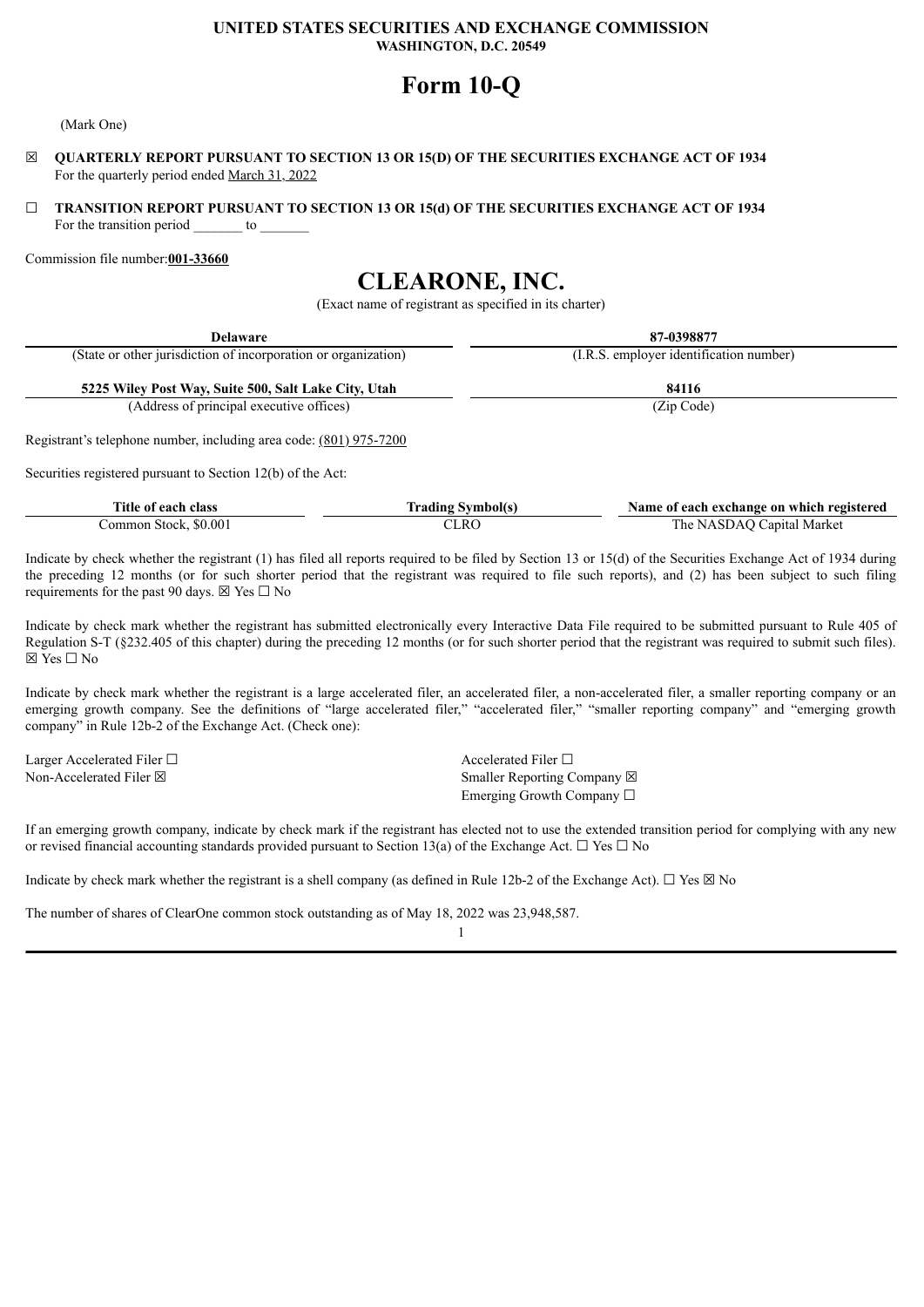### **UNITED STATES SECURITIES AND EXCHANGE COMMISSION WASHINGTON, D.C. 20549**

# **Form 10-Q**

(Mark One)

- ☒ **QUARTERLY REPORT PURSUANT TO SECTION 13 OR 15(D) OF THE SECURITIES EXCHANGE ACT OF 1934** For the quarterly period ended March 31, 2022
- ☐ **TRANSITION REPORT PURSUANT TO SECTION 13 OR 15(d) OF THE SECURITIES EXCHANGE ACT OF 1934** For the transition period to

Commission file number:**001-33660**

# **CLEARONE, INC.**

(Exact name of registrant as specified in its charter)

| <b>Delaware</b>                                                | 87-0398877                              |  |  |  |
|----------------------------------------------------------------|-----------------------------------------|--|--|--|
| (State or other jurisdiction of incorporation or organization) | (I.R.S. employer identification number) |  |  |  |
| 5225 Wiley Post Way, Suite 500, Salt Lake City, Utah           | 84116                                   |  |  |  |
| (Address of principal executive offices)                       | (Zip Code)                              |  |  |  |

Securities registered pursuant to Section 12(b) of the Act:

| Title of each class   | <b>Trading Symbol(s)</b> | Name of each exchange on which registered |
|-----------------------|--------------------------|-------------------------------------------|
| Common Stock, \$0.001 | CLRO                     | The NASDAO Capital Market                 |

Indicate by check whether the registrant (1) has filed all reports required to be filed by Section 13 or 15(d) of the Securities Exchange Act of 1934 during the preceding 12 months (or for such shorter period that the registrant was required to file such reports), and (2) has been subject to such filing requirements for the past 90 days.  $\boxtimes$  Yes  $\Box$  No

Indicate by check mark whether the registrant has submitted electronically every Interactive Data File required to be submitted pursuant to Rule 405 of Regulation S-T (§232.405 of this chapter) during the preceding 12 months (or for such shorter period that the registrant was required to submit such files).  $\boxtimes$  Yes  $\square$  No

Indicate by check mark whether the registrant is a large accelerated filer, an accelerated filer, a non-accelerated filer, a smaller reporting company or an emerging growth company. See the definitions of "large accelerated filer," "accelerated filer," "smaller reporting company" and "emerging growth company" in Rule 12b-2 of the Exchange Act. (Check one):

Larger Accelerated Filer □ and a set of the set of the Accelerated Filer □

Non-Accelerated Filer ⊠ Smaller Reporting Company ⊠ Emerging Growth Company ☐

If an emerging growth company, indicate by check mark if the registrant has elected not to use the extended transition period for complying with any new or revised financial accounting standards provided pursuant to Section 13(a) of the Exchange Act.  $□$  Yes  $□$  No

Indicate by check mark whether the registrant is a shell company (as defined in Rule 12b-2 of the Exchange Act).  $\Box$  Yes  $\boxtimes$  No

The number of shares of ClearOne common stock outstanding as of May 18, 2022 was 23,948,587.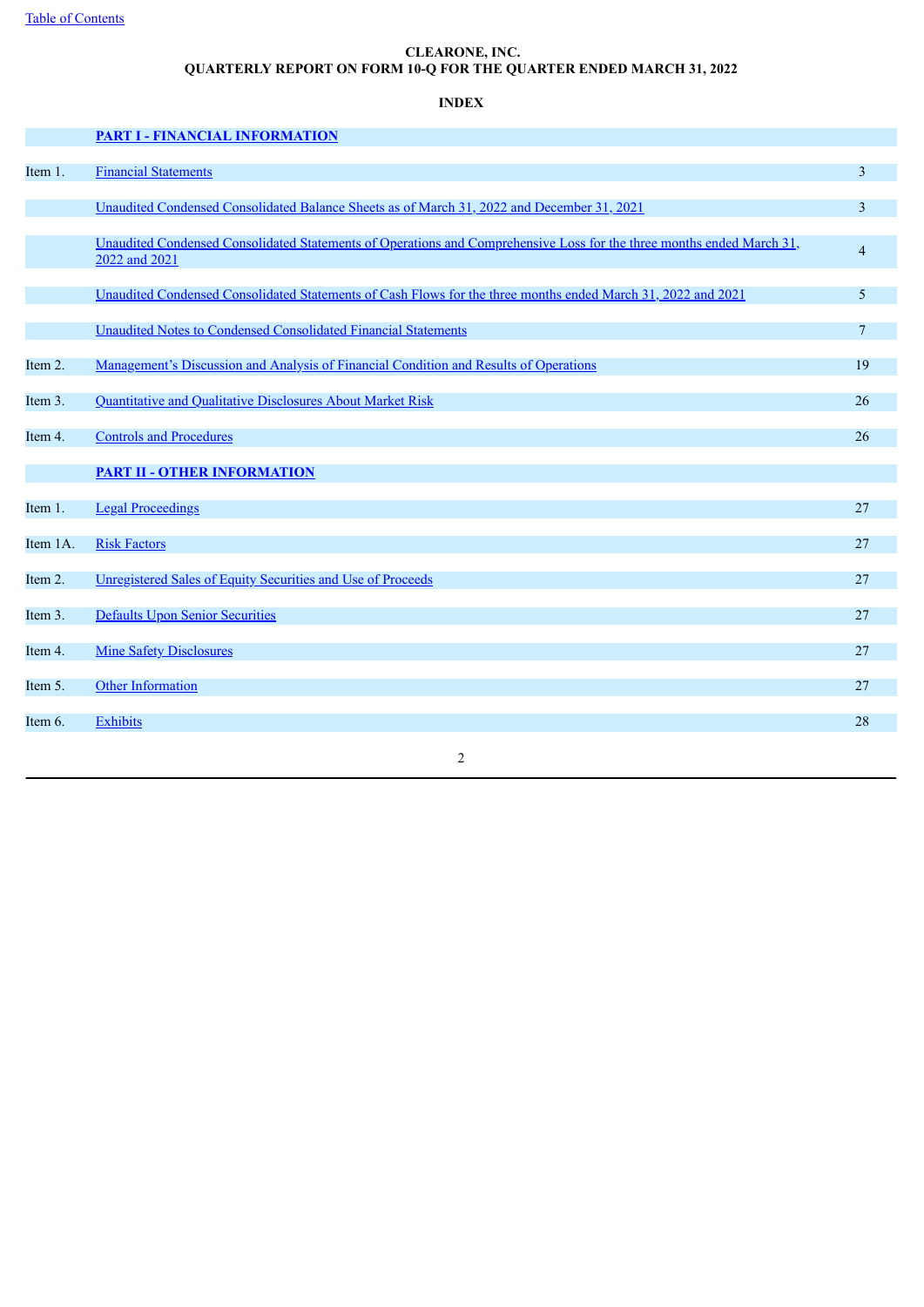### **CLEARONE, INC. QUARTERLY REPORT ON FORM 10-Q FOR THE QUARTER ENDED MARCH 31, 2022**

# **INDEX**

<span id="page-1-0"></span>

|          | <b>PART I - FINANCIAL INFORMATION</b>                                                                                                  |                |
|----------|----------------------------------------------------------------------------------------------------------------------------------------|----------------|
| Item 1.  | <b>Financial Statements</b>                                                                                                            | $\overline{3}$ |
|          | Unaudited Condensed Consolidated Balance Sheets as of March 31, 2022 and December 31, 2021                                             | $\overline{3}$ |
|          | Unaudited Condensed Consolidated Statements of Operations and Comprehensive Loss for the three months ended March 31,<br>2022 and 2021 | $\overline{4}$ |
|          | Unaudited Condensed Consolidated Statements of Cash Flows for the three months ended March 31, 2022 and 2021                           | 5              |
|          | Unaudited Notes to Condensed Consolidated Financial Statements                                                                         | $\overline{7}$ |
| Item 2.  | Management's Discussion and Analysis of Financial Condition and Results of Operations                                                  | 19             |
| Item 3.  | Quantitative and Qualitative Disclosures About Market Risk                                                                             | 26             |
| Item 4.  | <b>Controls and Procedures</b>                                                                                                         | 26             |
|          | <b>PART II - OTHER INFORMATION</b>                                                                                                     |                |
| Item 1.  | <b>Legal Proceedings</b>                                                                                                               | 27             |
| Item 1A. | <b>Risk Factors</b>                                                                                                                    | 27             |
| Item 2.  | Unregistered Sales of Equity Securities and Use of Proceeds                                                                            | 27             |
| Item 3.  | <b>Defaults Upon Senior Securities</b>                                                                                                 | 27             |
| Item 4.  | <b>Mine Safety Disclosures</b>                                                                                                         | 27             |
| Item 5.  | <b>Other Information</b>                                                                                                               | 27             |
| Item 6.  | Exhibits                                                                                                                               | 28             |
|          | $\overline{2}$                                                                                                                         |                |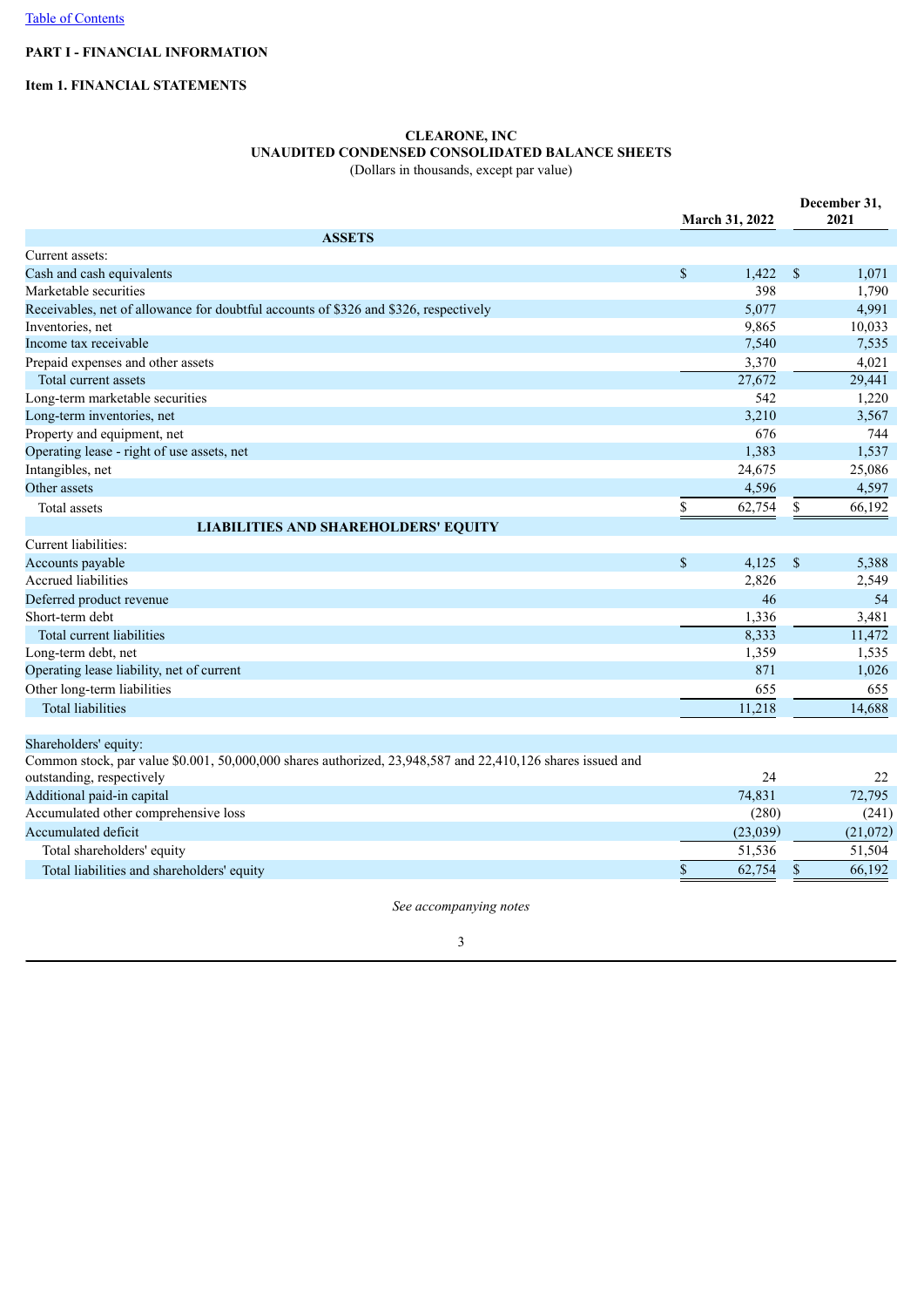### <span id="page-2-0"></span>**PART I - FINANCIAL INFORMATION**

### <span id="page-2-1"></span>**Item 1. FINANCIAL STATEMENTS**

# <span id="page-2-2"></span>**CLEARONE, INC UNAUDITED CONDENSED CONSOLIDATED BALANCE SHEETS**

(Dollars in thousands, except par value)

|                                                                                                            | <b>March 31, 2022</b> |          | December 31,<br>2021 |          |
|------------------------------------------------------------------------------------------------------------|-----------------------|----------|----------------------|----------|
| <b>ASSETS</b>                                                                                              |                       |          |                      |          |
| Current assets:                                                                                            |                       |          |                      |          |
| Cash and cash equivalents                                                                                  | $\mathbb{S}$          | 1,422    | $\mathbf{\$}$        | 1.071    |
| Marketable securities                                                                                      |                       | 398      |                      | 1,790    |
| Receivables, net of allowance for doubtful accounts of \$326 and \$326, respectively                       |                       | 5,077    |                      | 4,991    |
| Inventories, net                                                                                           |                       | 9,865    |                      | 10,033   |
| Income tax receivable                                                                                      |                       | 7,540    |                      | 7,535    |
| Prepaid expenses and other assets                                                                          |                       | 3,370    |                      | 4,021    |
| Total current assets                                                                                       |                       | 27,672   |                      | 29,441   |
| Long-term marketable securities                                                                            |                       | 542      |                      | 1,220    |
| Long-term inventories, net                                                                                 |                       | 3,210    |                      | 3,567    |
| Property and equipment, net                                                                                |                       | 676      |                      | 744      |
| Operating lease - right of use assets, net                                                                 |                       | 1,383    |                      | 1,537    |
| Intangibles, net                                                                                           |                       | 24,675   |                      | 25,086   |
| Other assets                                                                                               |                       | 4,596    |                      | 4,597    |
| <b>Total</b> assets                                                                                        | \$                    | 62,754   | \$                   | 66,192   |
| <b>LIABILITIES AND SHAREHOLDERS' EQUITY</b>                                                                |                       |          |                      |          |
| Current liabilities:                                                                                       |                       |          |                      |          |
| Accounts payable                                                                                           | $\mathbf S$           | 4,125    | $\mathbf{\hat{s}}$   | 5,388    |
| Accrued liabilities                                                                                        |                       | 2,826    |                      | 2,549    |
| Deferred product revenue                                                                                   |                       | 46       |                      | 54       |
| Short-term debt                                                                                            |                       | 1,336    |                      | 3,481    |
| Total current liabilities                                                                                  |                       | 8,333    |                      | 11,472   |
| Long-term debt, net                                                                                        |                       | 1,359    |                      | 1,535    |
| Operating lease liability, net of current                                                                  |                       | 871      |                      | 1,026    |
| Other long-term liabilities                                                                                |                       | 655      |                      | 655      |
| <b>Total liabilities</b>                                                                                   |                       | 11,218   |                      | 14,688   |
|                                                                                                            |                       |          |                      |          |
| Shareholders' equity:                                                                                      |                       |          |                      |          |
| Common stock, par value \$0.001, 50,000,000 shares authorized, 23,948,587 and 22,410,126 shares issued and |                       |          |                      |          |
| outstanding, respectively                                                                                  |                       | 24       |                      | 22       |
| Additional paid-in capital                                                                                 |                       | 74,831   |                      | 72,795   |
| Accumulated other comprehensive loss                                                                       |                       | (280)    |                      | (241)    |
| Accumulated deficit                                                                                        |                       | (23,039) |                      | (21,072) |
| Total shareholders' equity                                                                                 |                       | 51,536   |                      | 51,504   |
| Total liabilities and shareholders' equity                                                                 | \$                    | 62,754   | \$                   | 66,192   |

*See accompanying notes*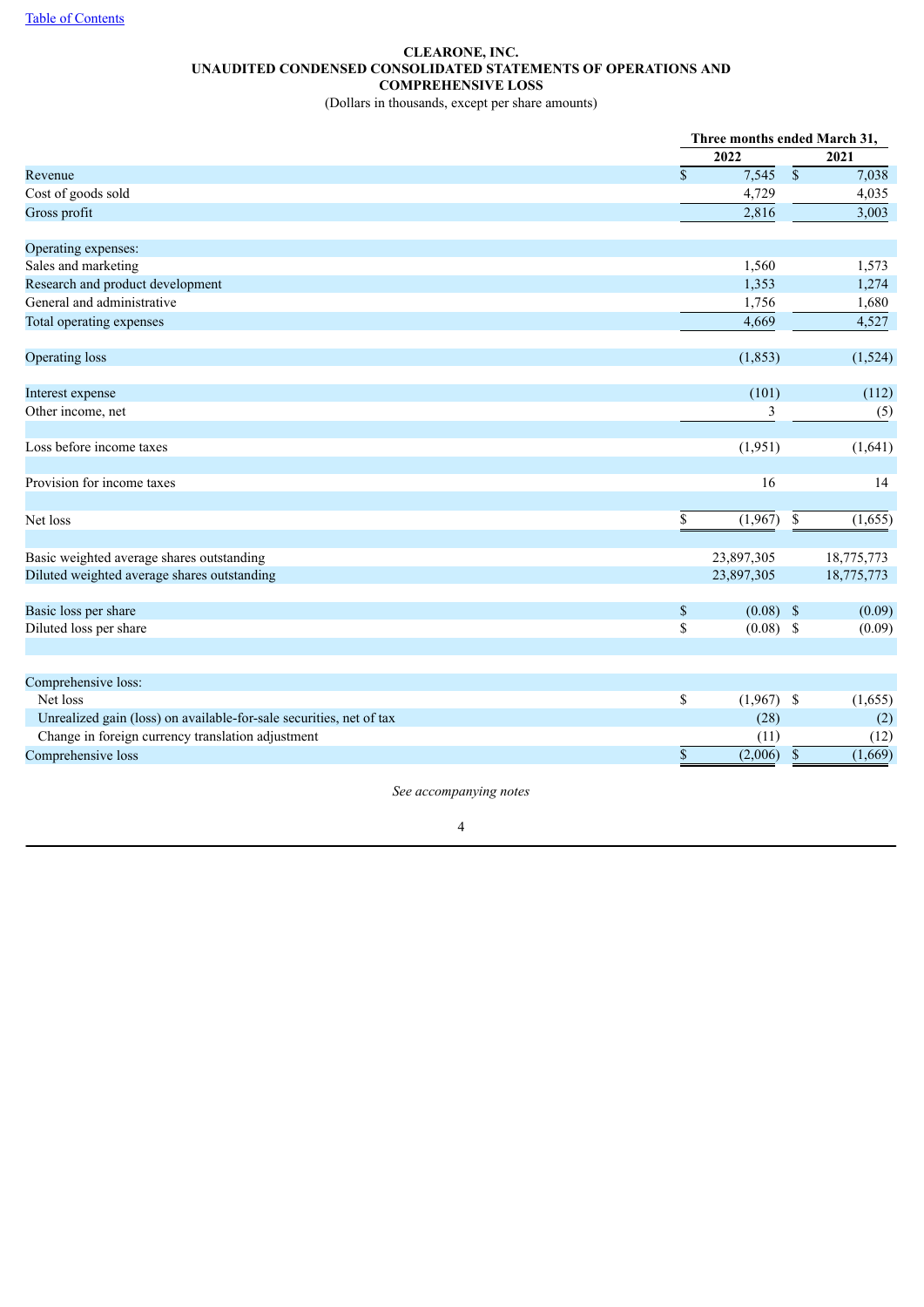### <span id="page-3-0"></span>**CLEARONE, INC. UNAUDITED CONDENSED CONSOLIDATED STATEMENTS OF OPERATIONS AND COMPREHENSIVE LOSS**

(Dollars in thousands, except per share amounts)

|                                                                     |      | Three months ended March 31, |               |                |  |
|---------------------------------------------------------------------|------|------------------------------|---------------|----------------|--|
|                                                                     |      | 2022                         | 2021          |                |  |
| Revenue                                                             | \$   | 7,545                        | $\sqrt{\ }$   | 7,038          |  |
| Cost of goods sold                                                  |      | 4,729                        |               | 4,035          |  |
| Gross profit                                                        |      | 2,816                        |               | 3,003          |  |
| Operating expenses:                                                 |      |                              |               |                |  |
| Sales and marketing                                                 |      | 1,560                        |               | 1,573          |  |
| Research and product development                                    |      | 1,353                        |               | 1,274          |  |
| General and administrative                                          |      | 1,756                        |               | 1,680          |  |
| Total operating expenses                                            |      | 4,669                        |               | 4,527          |  |
| Operating loss                                                      |      | (1, 853)                     |               | (1, 524)       |  |
| Interest expense                                                    |      | (101)                        |               | (112)          |  |
| Other income, net                                                   |      | 3                            |               | (5)            |  |
| Loss before income taxes                                            |      | (1,951)                      |               | (1,641)        |  |
| Provision for income taxes                                          |      | 16                           |               | 14             |  |
| Net loss                                                            | \$   | (1,967)                      | $\mathbb{S}$  | (1,655)        |  |
| Basic weighted average shares outstanding                           |      | 23,897,305                   |               | 18,775,773     |  |
| Diluted weighted average shares outstanding                         |      | 23,897,305                   |               | 18,775,773     |  |
| Basic loss per share                                                | $\$$ | $(0.08)$ \$                  |               | (0.09)         |  |
| Diluted loss per share                                              | \$   | $(0.08)$ \$                  |               | (0.09)         |  |
|                                                                     |      |                              |               |                |  |
| Comprehensive loss:<br>Net loss                                     | \$   | $(1,967)$ \$                 |               |                |  |
| Unrealized gain (loss) on available-for-sale securities, net of tax |      | (28)                         |               | (1,655)<br>(2) |  |
| Change in foreign currency translation adjustment                   |      | (11)                         |               | (12)           |  |
| Comprehensive loss                                                  | \$   | (2,006)                      | $\mathcal{S}$ | (1,669)        |  |
|                                                                     |      |                              |               |                |  |

*See accompanying notes*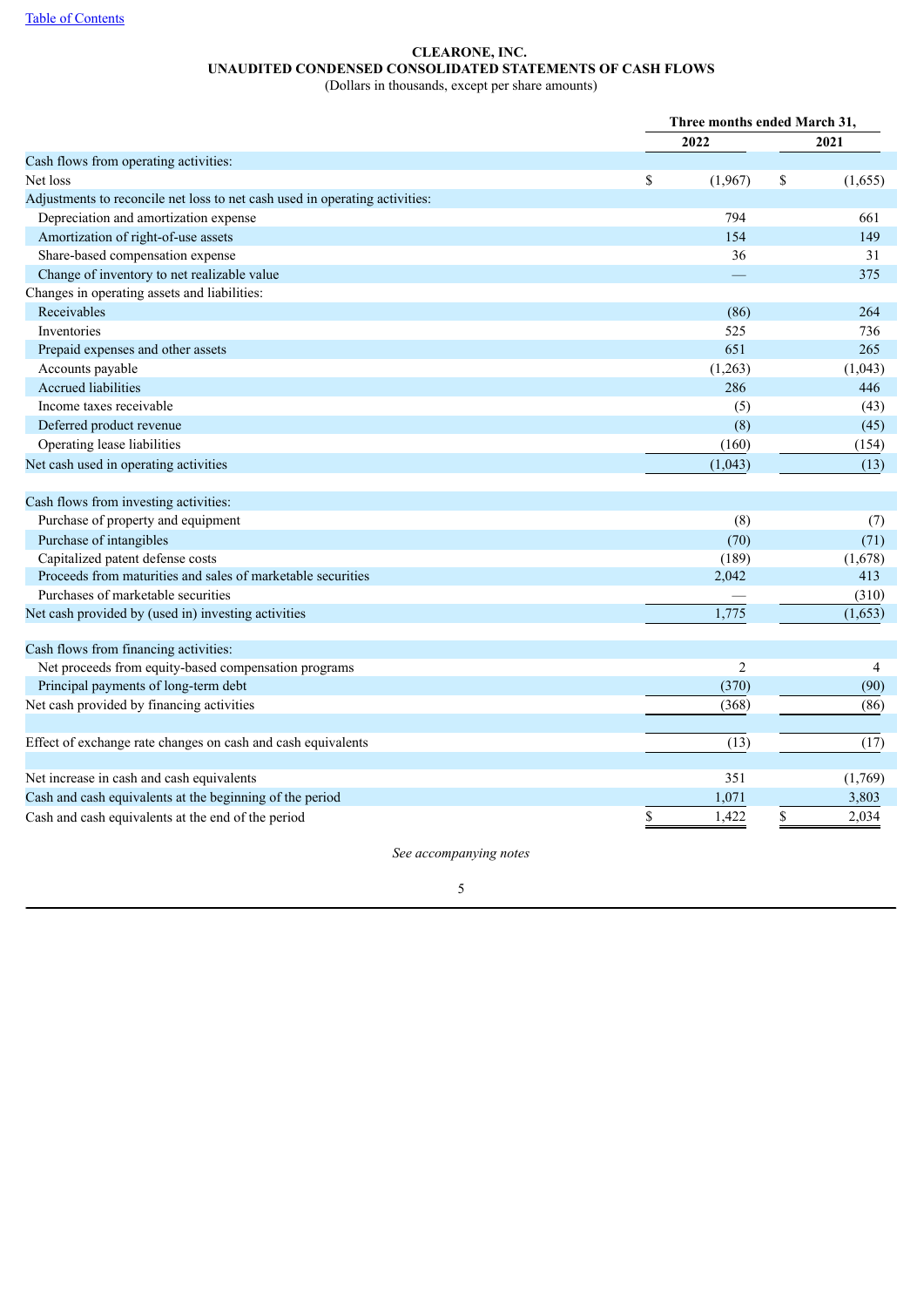# <span id="page-4-0"></span>**CLEARONE, INC. UNAUDITED CONDENSED CONSOLIDATED STATEMENTS OF CASH FLOWS**

(Dollars in thousands, except per share amounts)

|                                                                             | Three months ended March 31, |                |    |         |
|-----------------------------------------------------------------------------|------------------------------|----------------|----|---------|
|                                                                             |                              | 2022           |    | 2021    |
| Cash flows from operating activities:                                       |                              |                |    |         |
| Net loss                                                                    | \$                           | (1,967)        | \$ | (1,655) |
| Adjustments to reconcile net loss to net cash used in operating activities: |                              |                |    |         |
| Depreciation and amortization expense                                       |                              | 794            |    | 661     |
| Amortization of right-of-use assets                                         |                              | 154            |    | 149     |
| Share-based compensation expense                                            |                              | 36             |    | 31      |
| Change of inventory to net realizable value                                 |                              |                |    | 375     |
| Changes in operating assets and liabilities:                                |                              |                |    |         |
| Receivables                                                                 |                              | (86)           |    | 264     |
| Inventories                                                                 |                              | 525            |    | 736     |
| Prepaid expenses and other assets                                           |                              | 651            |    | 265     |
| Accounts payable                                                            |                              | (1,263)        |    | (1,043) |
| <b>Accrued liabilities</b>                                                  |                              | 286            |    | 446     |
| Income taxes receivable                                                     |                              | (5)            |    | (43)    |
| Deferred product revenue                                                    |                              | (8)            |    | (45)    |
| Operating lease liabilities                                                 |                              | (160)          |    | (154)   |
| Net cash used in operating activities                                       |                              | (1,043)        |    | (13)    |
| Cash flows from investing activities:                                       |                              |                |    |         |
| Purchase of property and equipment                                          |                              | (8)            |    | (7)     |
| Purchase of intangibles                                                     |                              | (70)           |    | (71)    |
| Capitalized patent defense costs                                            |                              | (189)          |    | (1,678) |
| Proceeds from maturities and sales of marketable securities                 |                              | 2,042          |    | 413     |
| Purchases of marketable securities                                          |                              |                |    | (310)   |
| Net cash provided by (used in) investing activities                         |                              | 1,775          |    | (1,653) |
| Cash flows from financing activities:                                       |                              |                |    |         |
| Net proceeds from equity-based compensation programs                        |                              | $\overline{2}$ |    | 4       |
| Principal payments of long-term debt                                        |                              | (370)          |    | (90)    |
| Net cash provided by financing activities                                   |                              | (368)          |    | (86)    |
| Effect of exchange rate changes on cash and cash equivalents                |                              | (13)           |    | (17)    |
| Net increase in cash and cash equivalents                                   |                              | 351            |    | (1,769) |
| Cash and cash equivalents at the beginning of the period                    |                              | 1,071          |    | 3,803   |
| Cash and cash equivalents at the end of the period                          | \$                           | 1,422          | \$ | 2,034   |

*See accompanying notes*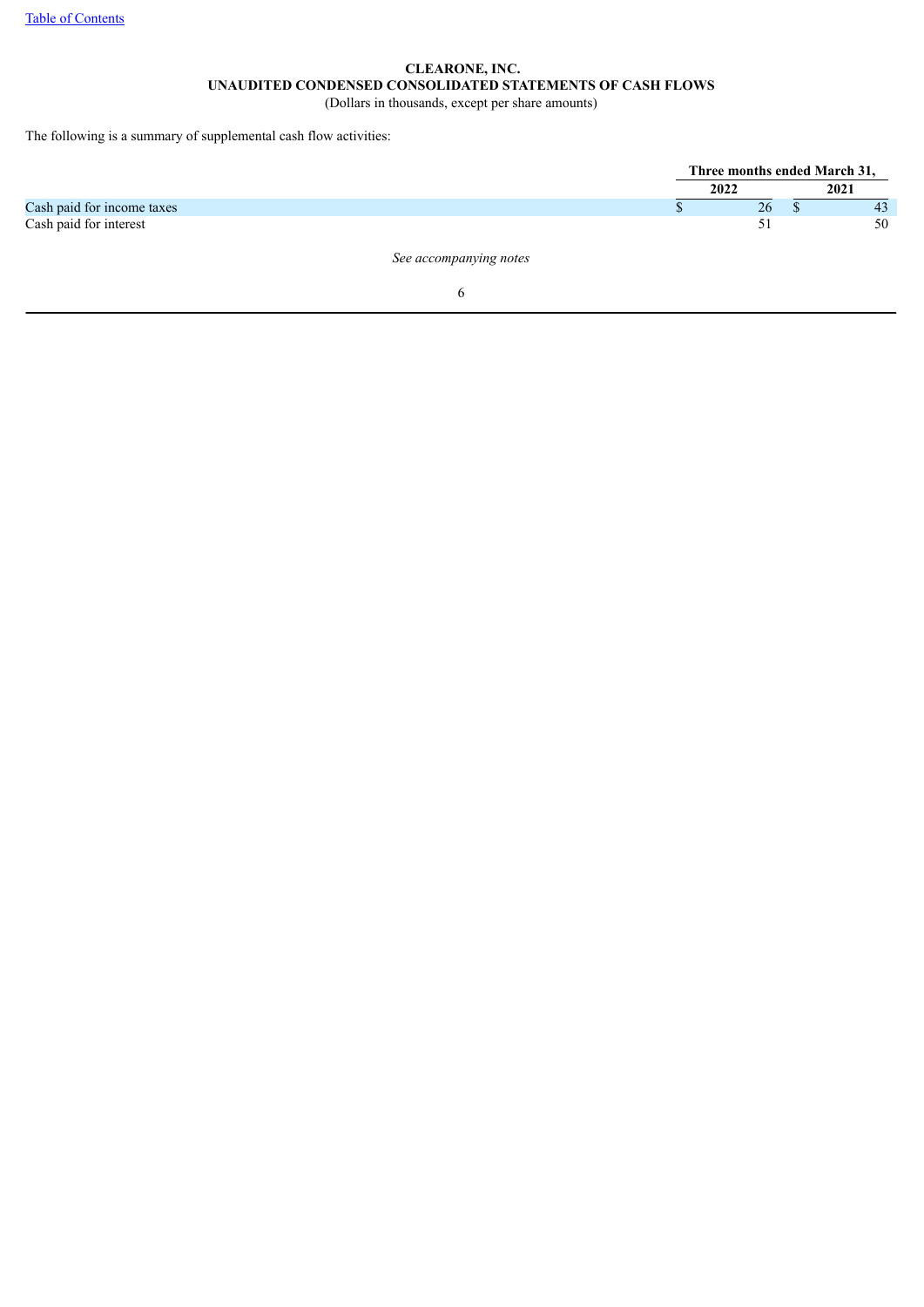### **CLEARONE, INC. UNAUDITED CONDENSED CONSOLIDATED STATEMENTS OF CASH FLOWS** (Dollars in thousands, except per share amounts)

The following is a summary of supplemental cash flow activities:

|                            | Three months ended March 31, |      |
|----------------------------|------------------------------|------|
|                            | 2022                         | 2021 |
| Cash paid for income taxes | 26                           | 43   |
| Cash paid for interest     | 51                           | 50   |
| See accompanying notes     |                              |      |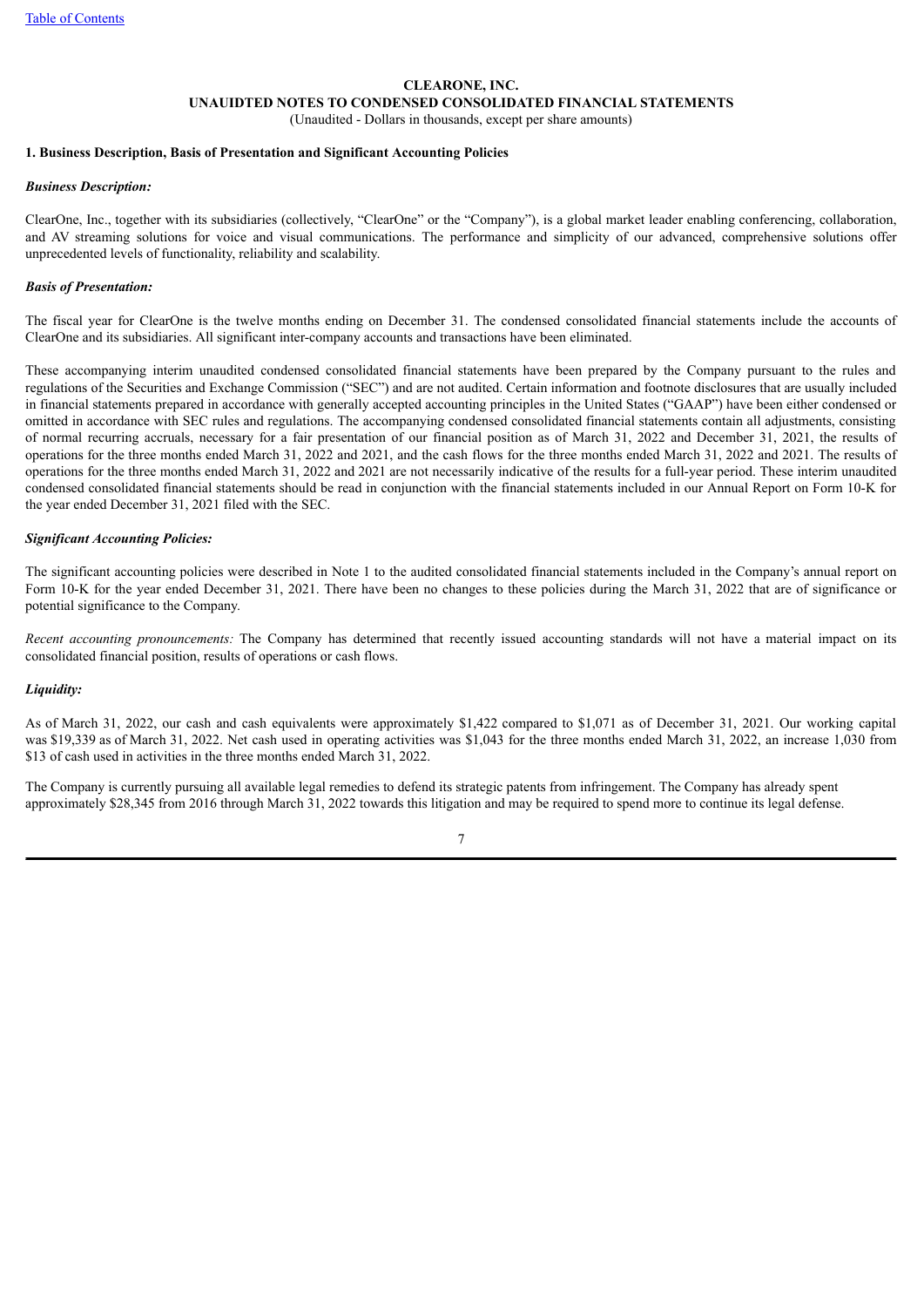# <span id="page-6-0"></span>**CLEARONE, INC. UNAUIDTED NOTES TO CONDENSED CONSOLIDATED FINANCIAL STATEMENTS**

(Unaudited - Dollars in thousands, except per share amounts)

### **1. Business Description, Basis of Presentation and Significant Accounting Policies**

### *Business Description:*

ClearOne, Inc., together with its subsidiaries (collectively, "ClearOne" or the "Company"), is a global market leader enabling conferencing, collaboration, and AV streaming solutions for voice and visual communications. The performance and simplicity of our advanced, comprehensive solutions offer unprecedented levels of functionality, reliability and scalability.

### *Basis of Presentation:*

The fiscal year for ClearOne is the twelve months ending on December 31. The condensed consolidated financial statements include the accounts of ClearOne and its subsidiaries. All significant inter-company accounts and transactions have been eliminated.

These accompanying interim unaudited condensed consolidated financial statements have been prepared by the Company pursuant to the rules and regulations of the Securities and Exchange Commission ("SEC") and are not audited. Certain information and footnote disclosures that are usually included in financial statements prepared in accordance with generally accepted accounting principles in the United States ("GAAP") have been either condensed or omitted in accordance with SEC rules and regulations. The accompanying condensed consolidated financial statements contain all adjustments, consisting of normal recurring accruals, necessary for a fair presentation of our financial position as of March 31, 2022 and December 31, 2021, the results of operations for the three months ended March 31, 2022 and 2021, and the cash flows for the three months ended March 31, 2022 and 2021. The results of operations for the three months ended March 31, 2022 and 2021 are not necessarily indicative of the results for a full-year period. These interim unaudited condensed consolidated financial statements should be read in conjunction with the financial statements included in our Annual Report on Form 10-K for the year ended December 31, 2021 filed with the SEC.

### *Significant Accounting Policies:*

The significant accounting policies were described in Note 1 to the audited consolidated financial statements included in the Company's annual report on Form 10-K for the year ended December 31, 2021. There have been no changes to these policies during the March 31, 2022 that are of significance or potential significance to the Company.

*Recent accounting pronouncements:* The Company has determined that recently issued accounting standards will not have a material impact on its consolidated financial position, results of operations or cash flows.

#### *Liquidity:*

As of March 31, 2022, our cash and cash equivalents were approximately \$1,422 compared to \$1,071 as of December 31, 2021. Our working capital was \$19,339 as of March 31, 2022. Net cash used in operating activities was \$1,043 for the three months ended March 31, 2022, an increase 1,030 from \$13 of cash used in activities in the three months ended March 31, 2022.

The Company is currently pursuing all available legal remedies to defend its strategic patents from infringement. The Company has already spent approximately \$28,345 from 2016 through March 31, 2022 towards this litigation and may be required to spend more to continue its legal defense.

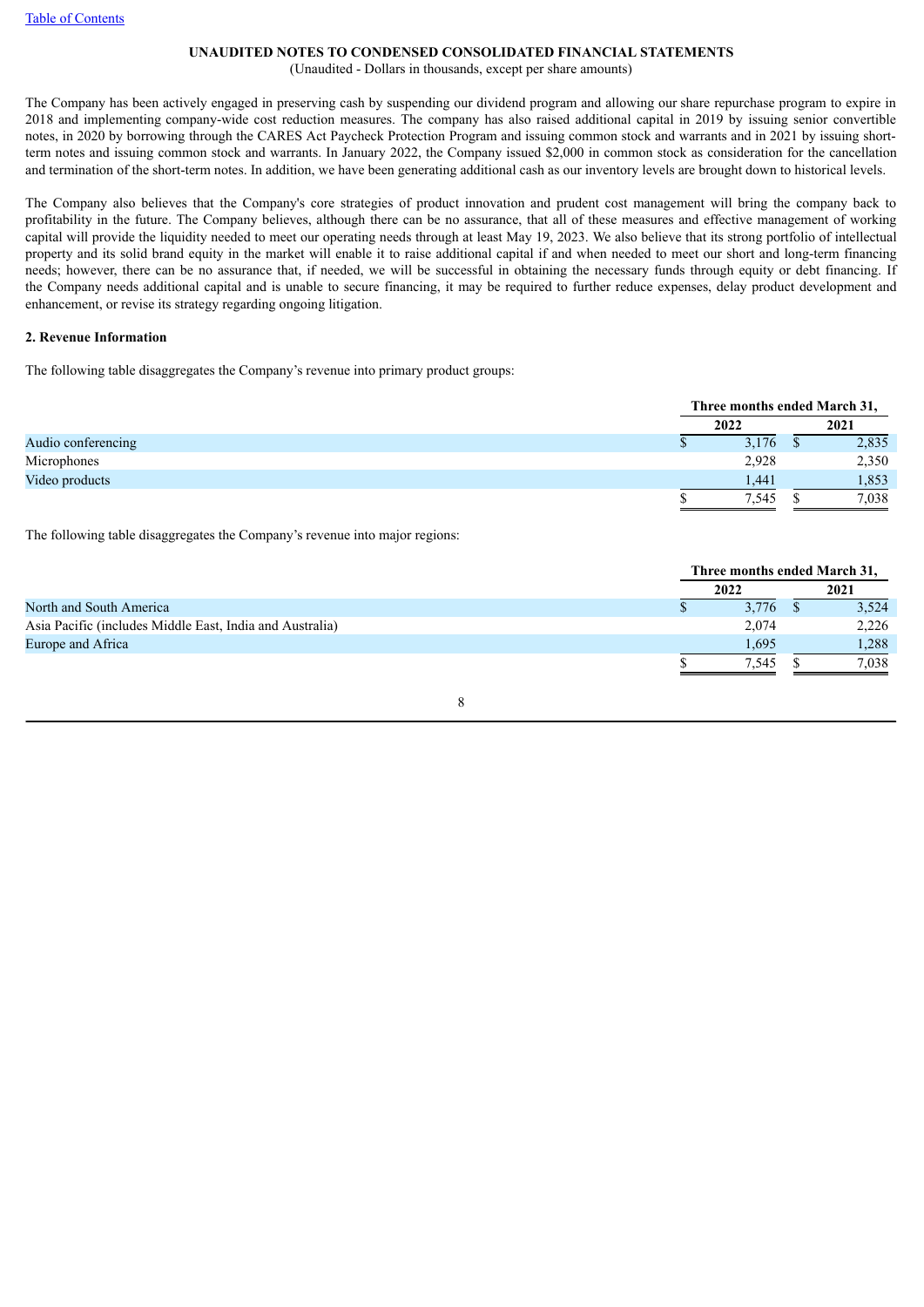(Unaudited - Dollars in thousands, except per share amounts)

The Company has been actively engaged in preserving cash by suspending our dividend program and allowing our share repurchase program to expire in 2018 and implementing company-wide cost reduction measures. The company has also raised additional capital in 2019 by issuing senior convertible notes, in 2020 by borrowing through the CARES Act Paycheck Protection Program and issuing common stock and warrants and in 2021 by issuing shortterm notes and issuing common stock and warrants. In January 2022, the Company issued \$2,000 in common stock as consideration for the cancellation and termination of the short-term notes. In addition, we have been generating additional cash as our inventory levels are brought down to historical levels.

The Company also believes that the Company's core strategies of product innovation and prudent cost management will bring the company back to profitability in the future. The Company believes, although there can be no assurance, that all of these measures and effective management of working capital will provide the liquidity needed to meet our operating needs through at least May 19, 2023. We also believe that its strong portfolio of intellectual property and its solid brand equity in the market will enable it to raise additional capital if and when needed to meet our short and long-term financing needs; however, there can be no assurance that, if needed, we will be successful in obtaining the necessary funds through equity or debt financing. If the Company needs additional capital and is unable to secure financing, it may be required to further reduce expenses, delay product development and enhancement, or revise its strategy regarding ongoing litigation.

#### **2. Revenue Information**

The following table disaggregates the Company's revenue into primary product groups:

|                    |      | Three months ended March 31, |  |       |  |  |
|--------------------|------|------------------------------|--|-------|--|--|
|                    | 2022 |                              |  | 2021  |  |  |
| Audio conferencing |      | 3,176                        |  | 2,835 |  |  |
| Microphones        |      | 2,928                        |  | 2,350 |  |  |
| Video products     |      | 1.441                        |  | 1,853 |  |  |
|                    |      | 7.545                        |  | 7,038 |  |  |

The following table disaggregates the Company's revenue into major regions:

|                                                          | Three months ended March 31, |  |       |  |
|----------------------------------------------------------|------------------------------|--|-------|--|
|                                                          | 2022                         |  | 2021  |  |
| North and South America                                  | 3,776                        |  | 3,524 |  |
| Asia Pacific (includes Middle East, India and Australia) | 2.074                        |  | 2,226 |  |
| Europe and Africa                                        | 1,695                        |  | 1,288 |  |
|                                                          | 7.545                        |  | 7.038 |  |

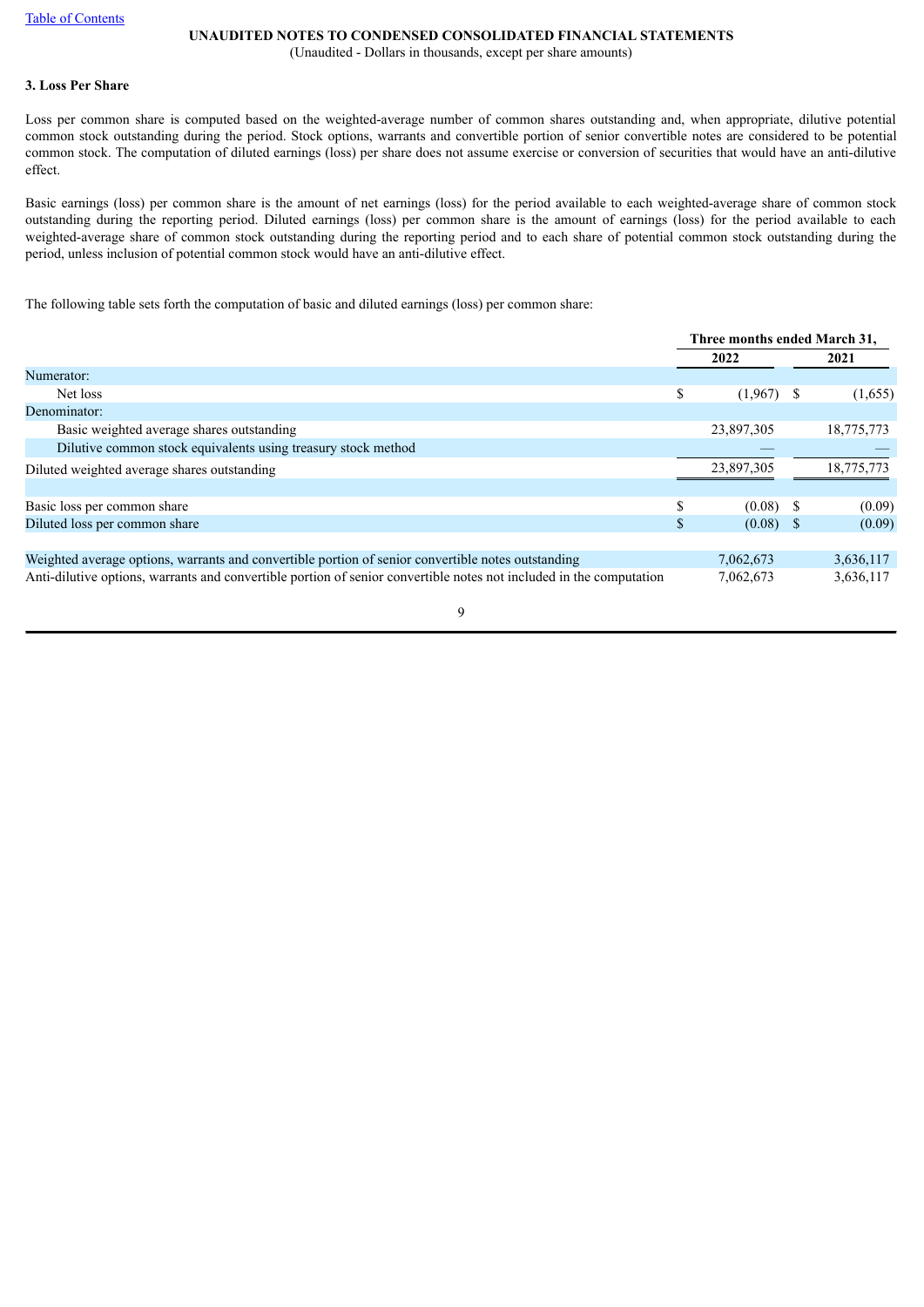(Unaudited - Dollars in thousands, except per share amounts)

#### **3. Loss Per Share**

Loss per common share is computed based on the weighted-average number of common shares outstanding and, when appropriate, dilutive potential common stock outstanding during the period. Stock options, warrants and convertible portion of senior convertible notes are considered to be potential common stock. The computation of diluted earnings (loss) per share does not assume exercise or conversion of securities that would have an anti-dilutive effect.

Basic earnings (loss) per common share is the amount of net earnings (loss) for the period available to each weighted-average share of common stock outstanding during the reporting period. Diluted earnings (loss) per common share is the amount of earnings (loss) for the period available to each weighted-average share of common stock outstanding during the reporting period and to each share of potential common stock outstanding during the period, unless inclusion of potential common stock would have an anti-dilutive effect.

The following table sets forth the computation of basic and diluted earnings (loss) per common share:

|                                                                                                                     | Three months ended March 31, |  |            |  |
|---------------------------------------------------------------------------------------------------------------------|------------------------------|--|------------|--|
|                                                                                                                     | 2022                         |  | 2021       |  |
| Numerator:                                                                                                          |                              |  |            |  |
| Net loss                                                                                                            | \$<br>$(1,967)$ \$           |  | (1,655)    |  |
| Denominator:                                                                                                        |                              |  |            |  |
| Basic weighted average shares outstanding                                                                           | 23,897,305                   |  | 18,775,773 |  |
| Dilutive common stock equivalents using treasury stock method                                                       |                              |  |            |  |
| Diluted weighted average shares outstanding                                                                         | 23,897,305                   |  | 18,775,773 |  |
| Basic loss per common share                                                                                         | \$<br>$(0.08)$ \$            |  | (0.09)     |  |
| Diluted loss per common share                                                                                       | \$<br>$(0.08)$ \$            |  | (0.09)     |  |
|                                                                                                                     |                              |  |            |  |
| Weighted average options, warrants and convertible portion of senior convertible notes outstanding                  | 7,062,673                    |  | 3,636,117  |  |
| Anti-dilutive options, warrants and convertible portion of senior convertible notes not included in the computation | 7,062,673                    |  | 3,636,117  |  |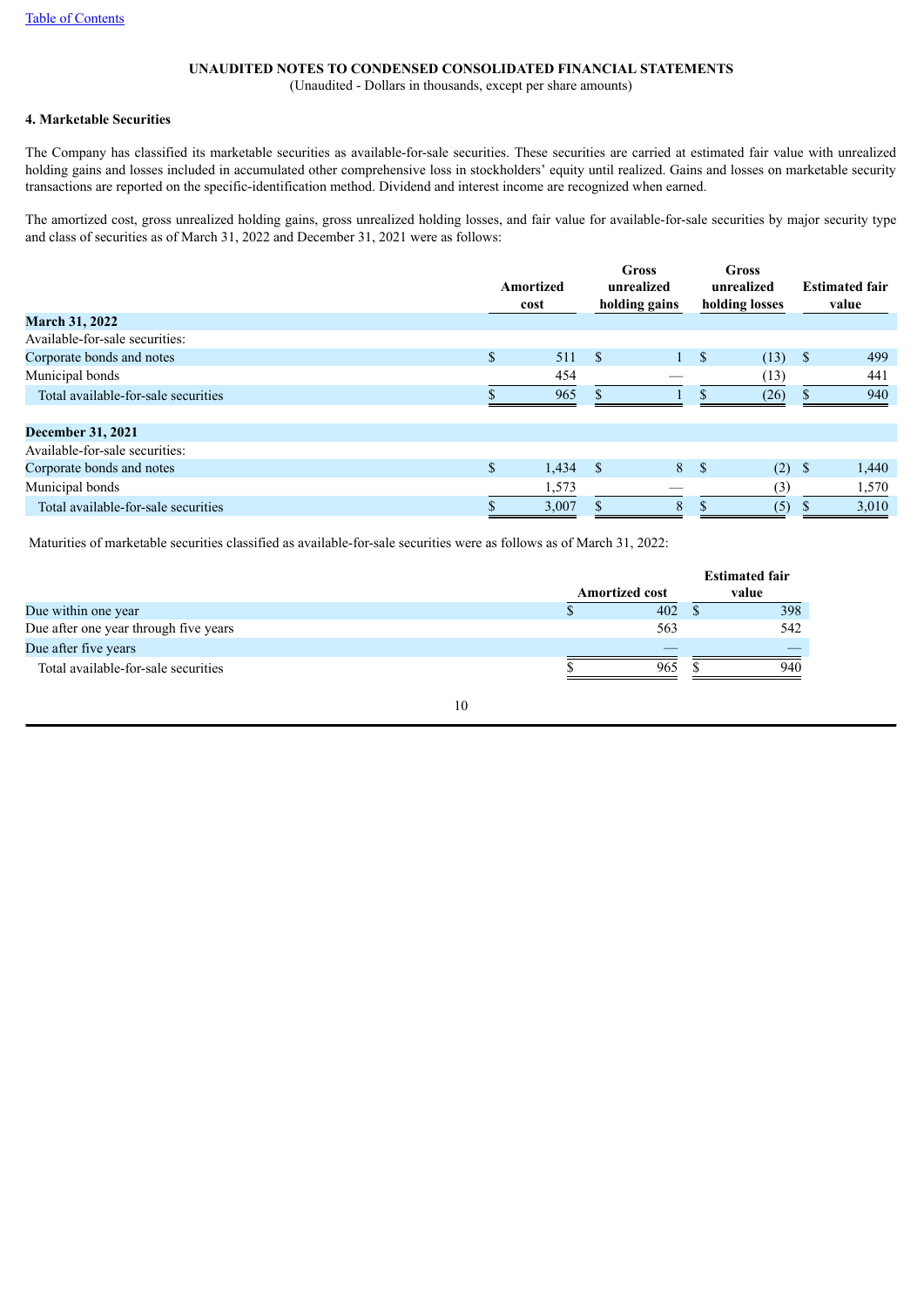(Unaudited - Dollars in thousands, except per share amounts)

### **4. Marketable Securities**

The Company has classified its marketable securities as available-for-sale securities. These securities are carried at estimated fair value with unrealized holding gains and losses included in accumulated other comprehensive loss in stockholders' equity until realized. Gains and losses on marketable security transactions are reported on the specific-identification method. Dividend and interest income are recognized when earned.

The amortized cost, gross unrealized holding gains, gross unrealized holding losses, and fair value for available-for-sale securities by major security type and class of securities as of March 31, 2022 and December 31, 2021 were as follows:

|                                     |    | Amortized<br>cost | <b>Gross</b><br>unrealized<br>holding gains |                              | <b>Gross</b><br>unrealized<br>holding losses |    | <b>Estimated fair</b><br>value |  |
|-------------------------------------|----|-------------------|---------------------------------------------|------------------------------|----------------------------------------------|----|--------------------------------|--|
| <b>March 31, 2022</b>               |    |                   |                                             |                              |                                              |    |                                |  |
| Available-for-sale securities:      |    |                   |                                             |                              |                                              |    |                                |  |
| Corporate bonds and notes           | \$ | 511               | <sup>\$</sup>                               | $\mathbb{S}$<br>$\mathbf{1}$ | (13)                                         | -S | 499                            |  |
| Municipal bonds                     |    | 454               |                                             |                              | (13)                                         |    | 441                            |  |
| Total available-for-sale securities |    | 965               |                                             | \$.                          | (26)                                         |    | 940                            |  |
|                                     |    |                   |                                             |                              |                                              |    |                                |  |
| <b>December 31, 2021</b>            |    |                   |                                             |                              |                                              |    |                                |  |
| Available-for-sale securities:      |    |                   |                                             |                              |                                              |    |                                |  |
| Corporate bonds and notes           | \$ | 1,434             | -S                                          | 8<br><sup>\$</sup>           | $(2)$ \$                                     |    | 1,440                          |  |
| Municipal bonds                     |    | 1,573             |                                             |                              | (3)                                          |    | 1,570                          |  |
| Total available-for-sale securities |    | 3,007             |                                             | 8<br>-D                      | (5)                                          |    | 3,010                          |  |

Maturities of marketable securities classified as available-for-sale securities were as follows as of March 31, 2022:

|                                       |                       | <b>Estimated fair</b> |       |     |
|---------------------------------------|-----------------------|-----------------------|-------|-----|
|                                       | <b>Amortized cost</b> |                       | value |     |
| Due within one year                   |                       | 402                   |       | 398 |
| Due after one year through five years |                       | 563                   |       | 542 |
| Due after five years                  |                       |                       |       |     |
| Total available-for-sale securities   |                       | 965                   |       | 940 |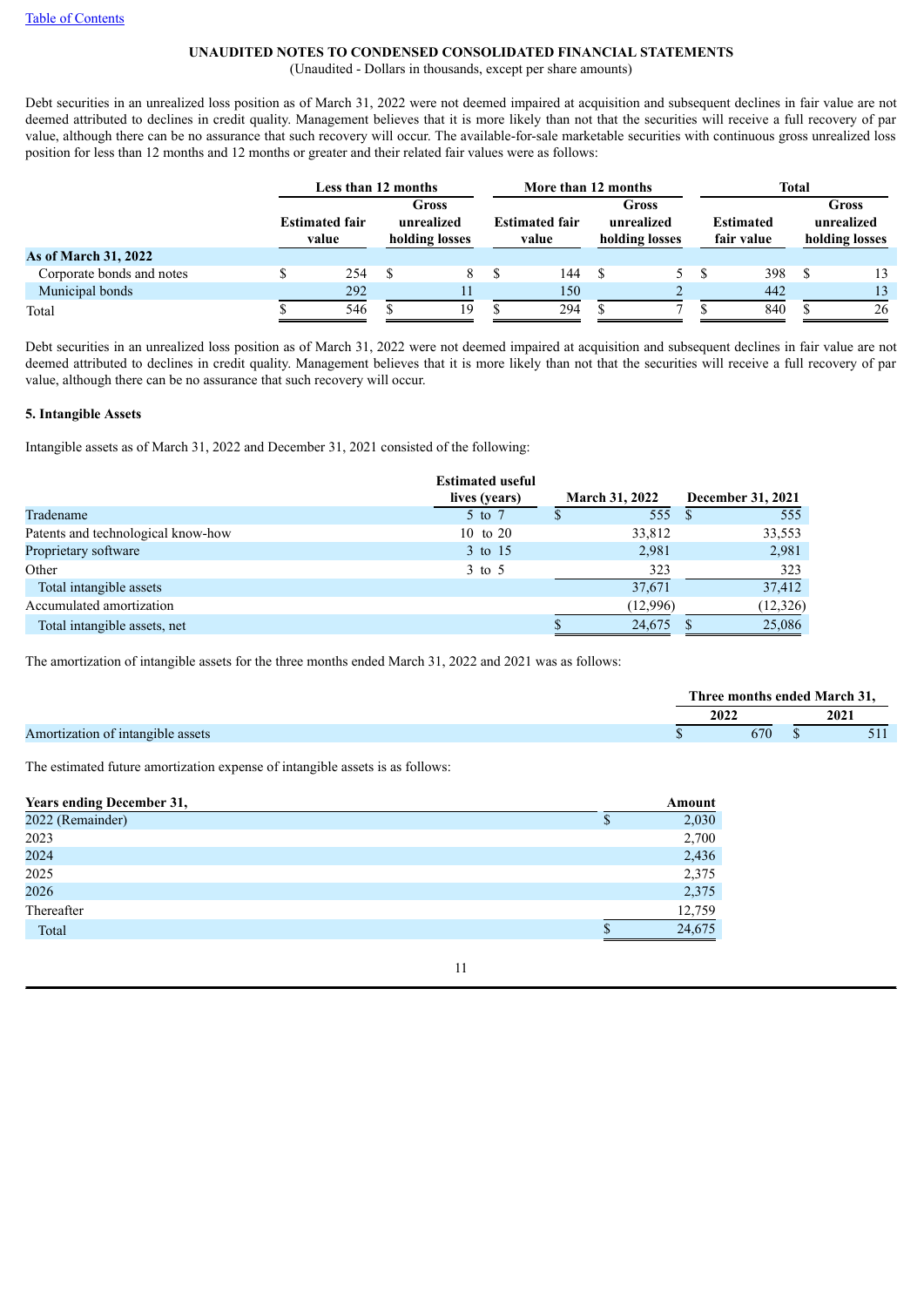(Unaudited - Dollars in thousands, except per share amounts)

Debt securities in an unrealized loss position as of March 31, 2022 were not deemed impaired at acquisition and subsequent declines in fair value are not deemed attributed to declines in credit quality. Management believes that it is more likely than not that the securities will receive a full recovery of par value, although there can be no assurance that such recovery will occur. The available-for-sale marketable securities with continuous gross unrealized loss position for less than 12 months and 12 months or greater and their related fair values were as follows:

|                             |                                | <b>Less than 12 months</b> |                                       | More than 12 months |                                |  | <b>Total</b>                                 |  |                                |  |                                       |
|-----------------------------|--------------------------------|----------------------------|---------------------------------------|---------------------|--------------------------------|--|----------------------------------------------|--|--------------------------------|--|---------------------------------------|
|                             | <b>Estimated fair</b><br>value |                            | Gross<br>unrealized<br>holding losses |                     | <b>Estimated fair</b><br>value |  | <b>Gross</b><br>unrealized<br>holding losses |  | <b>Estimated</b><br>fair value |  | Gross<br>unrealized<br>holding losses |
| <b>As of March 31, 2022</b> |                                |                            |                                       |                     |                                |  |                                              |  |                                |  |                                       |
| Corporate bonds and notes   | 254                            |                            | 8.                                    |                     | 144                            |  |                                              |  | 398                            |  | 13                                    |
| Municipal bonds             | 292                            |                            | 11                                    |                     | 150                            |  |                                              |  | 442                            |  | 13                                    |
| Total                       | 546                            |                            | 19                                    |                     | 294                            |  |                                              |  | 840                            |  | 26                                    |

Debt securities in an unrealized loss position as of March 31, 2022 were not deemed impaired at acquisition and subsequent declines in fair value are not deemed attributed to declines in credit quality. Management believes that it is more likely than not that the securities will receive a full recovery of par value, although there can be no assurance that such recovery will occur.

#### **5. Intangible Assets**

Intangible assets as of March 31, 2022 and December 31, 2021 consisted of the following:

|                                    | <b>Estimated useful</b> |                       |                   |
|------------------------------------|-------------------------|-----------------------|-------------------|
|                                    | lives (years)           | <b>March 31, 2022</b> | December 31, 2021 |
| Tradename                          | 5 to 7                  | 555                   | 555               |
| Patents and technological know-how | 10 to $20$              | 33,812                | 33,553            |
| Proprietary software               | 3 to 15                 | 2,981                 | 2,981             |
| Other                              | 3 to 5                  | 323                   | 323               |
| Total intangible assets            |                         | 37,671                | 37,412            |
| Accumulated amortization           |                         | (12,996)              | (12, 326)         |
| Total intangible assets, net       |                         | 24,675                | 25,086            |

The amortization of intangible assets for the three months ended March 31, 2022 and 2021 was as follows:

|                                   | Three months ended March 31, |      |
|-----------------------------------|------------------------------|------|
|                                   | 2022                         | 2021 |
| Amortization of intangible assets | 70)                          |      |

The estimated future amortization expense of intangible assets is as follows:

| <b>Years ending December 31,</b> | Amount     |
|----------------------------------|------------|
| 2022 (Remainder)                 | 2,030<br>Φ |
| 2023                             | 2,700      |
| 2024                             | 2,436      |
| 2025                             | 2,375      |
| 2026                             | 2,375      |
| Thereafter                       | 12,759     |
| Total                            | 24,675     |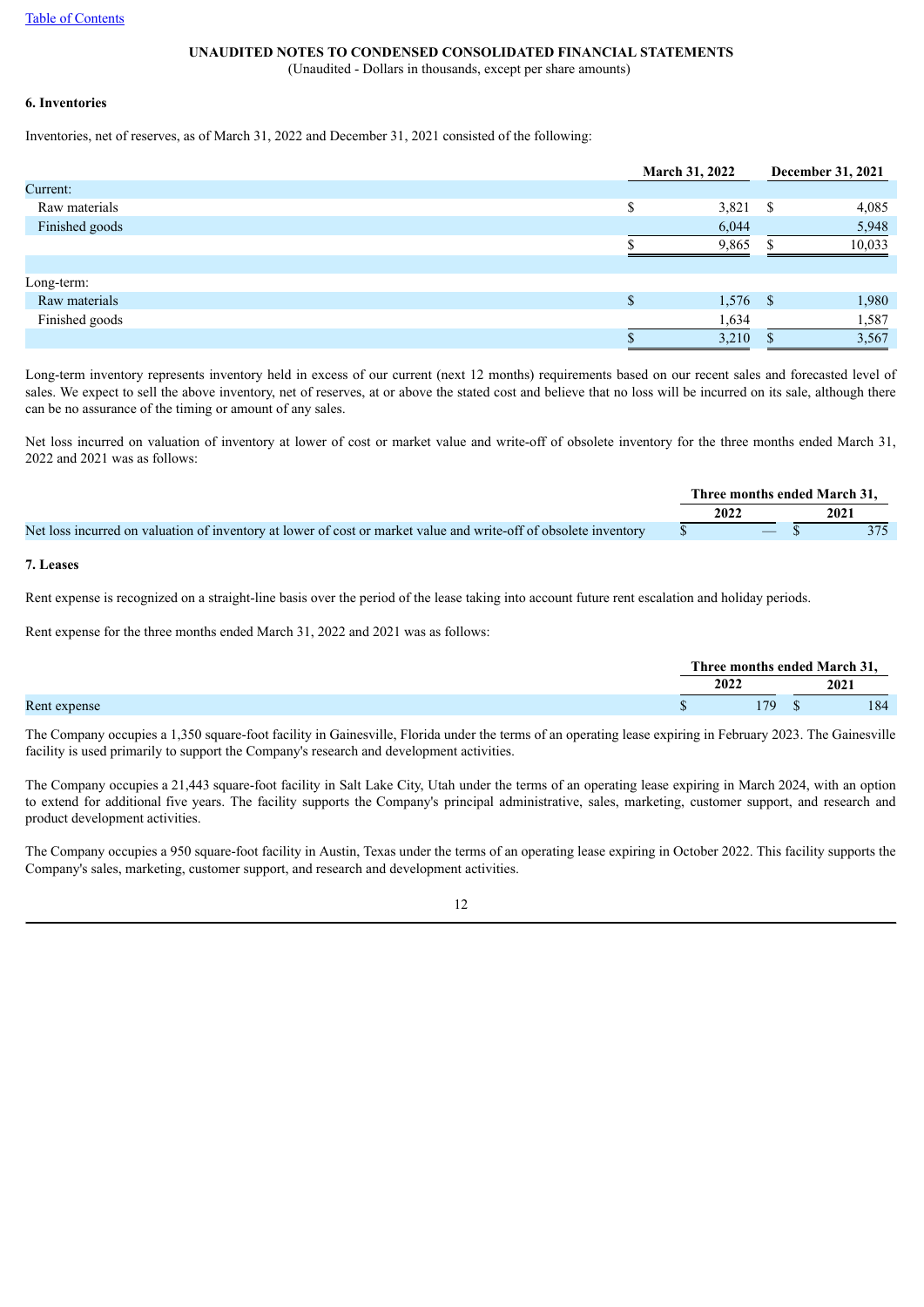(Unaudited - Dollars in thousands, except per share amounts)

#### **6. Inventories**

Inventories, net of reserves, as of March 31, 2022 and December 31, 2021 consisted of the following:

|                |   | <b>March 31, 2022</b> |      | December 31, 2021 |
|----------------|---|-----------------------|------|-------------------|
| Current:       |   |                       |      |                   |
| Raw materials  | ሖ | 3,821                 | - \$ | 4,085             |
| Finished goods |   | 6,044                 |      | 5,948             |
|                |   | 9,865                 |      | 10,033            |
|                |   |                       |      |                   |
| Long-term:     |   |                       |      |                   |
| Raw materials  |   | $1,576$ \$            |      | 1,980             |
| Finished goods |   | 1,634                 |      | 1,587             |
|                |   | 3,210                 |      | 3,567             |

Long-term inventory represents inventory held in excess of our current (next 12 months) requirements based on our recent sales and forecasted level of sales. We expect to sell the above inventory, net of reserves, at or above the stated cost and believe that no loss will be incurred on its sale, although there can be no assurance of the timing or amount of any sales.

Net loss incurred on valuation of inventory at lower of cost or market value and write-off of obsolete inventory for the three months ended March 31, 2022 and 2021 was as follows:

|                                                                                                                  | Three months ended March 31, |      |
|------------------------------------------------------------------------------------------------------------------|------------------------------|------|
|                                                                                                                  | 2022                         | 2021 |
| Net loss incurred on valuation of inventory at lower of cost or market value and write-off of obsolete inventory |                              |      |
|                                                                                                                  |                              |      |

#### **7. Leases**

Rent expense is recognized on a straight-line basis over the period of the lease taking into account future rent escalation and holiday periods.

Rent expense for the three months ended March 31, 2022 and 2021 was as follows:

|              | Three months ended March 31, |     |      |
|--------------|------------------------------|-----|------|
|              | 2022                         |     | 2021 |
| Rent expense |                              | 179 | 184  |

The Company occupies a 1,350 square-foot facility in Gainesville, Florida under the terms of an operating lease expiring in February 2023. The Gainesville facility is used primarily to support the Company's research and development activities.

The Company occupies a 21,443 square-foot facility in Salt Lake City, Utah under the terms of an operating lease expiring in March 2024, with an option to extend for additional five years. The facility supports the Company's principal administrative, sales, marketing, customer support, and research and product development activities.

The Company occupies a 950 square-foot facility in Austin, Texas under the terms of an operating lease expiring in October 2022. This facility supports the Company's sales, marketing, customer support, and research and development activities.

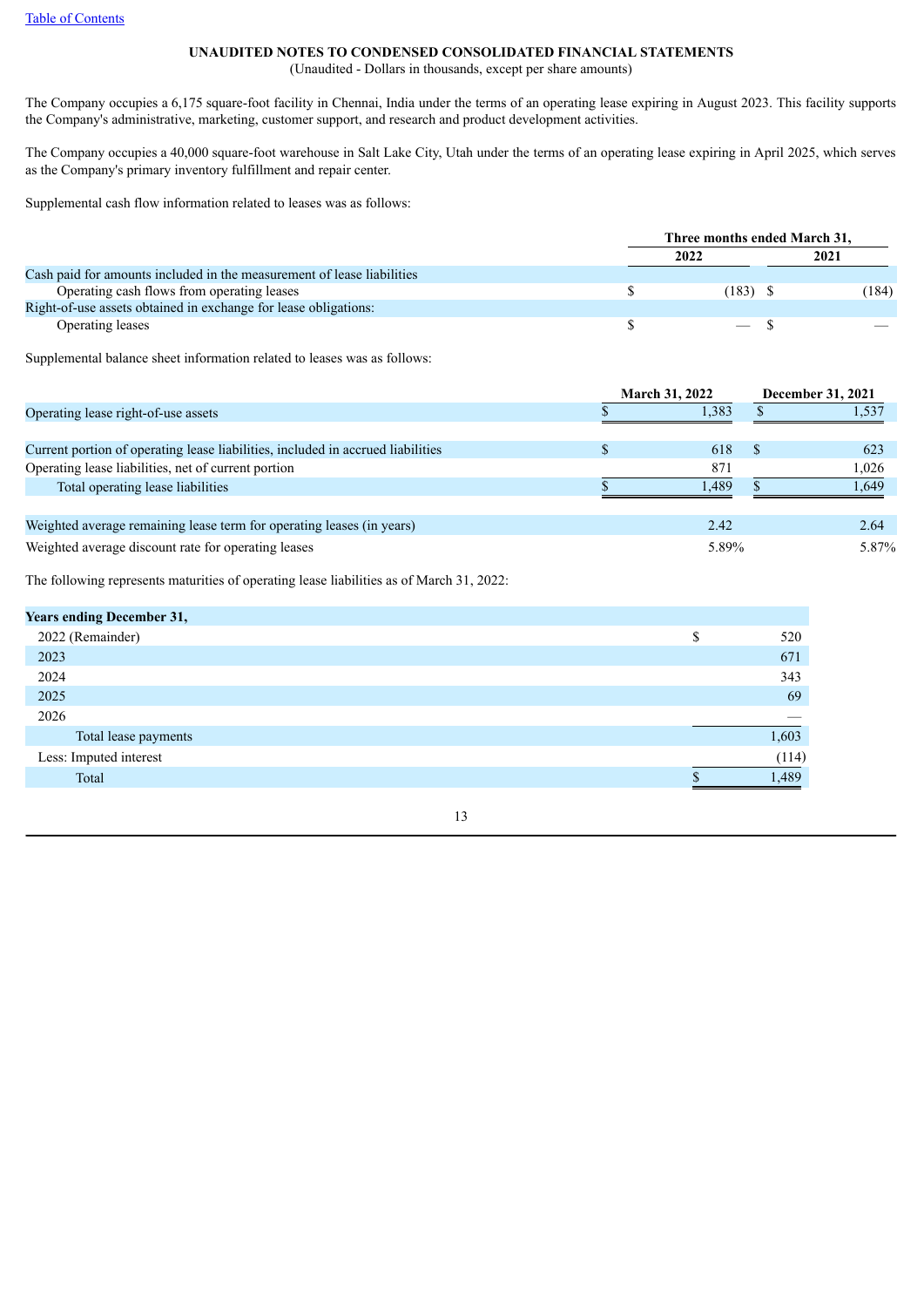(Unaudited - Dollars in thousands, except per share amounts)

The Company occupies a 6,175 square-foot facility in Chennai, India under the terms of an operating lease expiring in August 2023. This facility supports the Company's administrative, marketing, customer support, and research and product development activities.

The Company occupies a 40,000 square-foot warehouse in Salt Lake City, Utah under the terms of an operating lease expiring in April 2025, which serves as the Company's primary inventory fulfillment and repair center.

Supplemental cash flow information related to leases was as follows:

|                                                                        | Three months ended March 31, |       |
|------------------------------------------------------------------------|------------------------------|-------|
|                                                                        | 2022                         | 2021  |
| Cash paid for amounts included in the measurement of lease liabilities |                              |       |
| Operating cash flows from operating leases                             | $(183)$ \$                   | (184) |
| Right-of-use assets obtained in exchange for lease obligations:        |                              |       |
| Operating leases                                                       | $ \mathbf{x}$                |       |

Supplemental balance sheet information related to leases was as follows:

|                                                                                 | <b>March 31, 2022</b> |  | December 31, 2021 |  |
|---------------------------------------------------------------------------------|-----------------------|--|-------------------|--|
| Operating lease right-of-use assets                                             | 1.383                 |  | 1.537             |  |
|                                                                                 |                       |  |                   |  |
| Current portion of operating lease liabilities, included in accrued liabilities | 618                   |  | 623               |  |
| Operating lease liabilities, net of current portion                             | 871                   |  | 1.026             |  |
| Total operating lease liabilities                                               | 1.489                 |  | 1.649             |  |
|                                                                                 |                       |  |                   |  |
| Weighted average remaining lease term for operating leases (in years)           | 2.42                  |  | 2.64              |  |
| Weighted average discount rate for operating leases                             | 5.89%                 |  | 5.87%             |  |

The following represents maturities of operating lease liabilities as of March 31, 2022:

| <b>Years ending December 31,</b> |     |       |
|----------------------------------|-----|-------|
| 2022 (Remainder)                 | ــه | 520   |
| 2023                             |     | 671   |
| 2024                             |     | 343   |
| 2025                             |     | 69    |
| 2026                             |     |       |
| Total lease payments             |     | 1,603 |
| Less: Imputed interest           |     | (114) |
| Total                            |     | 1.489 |

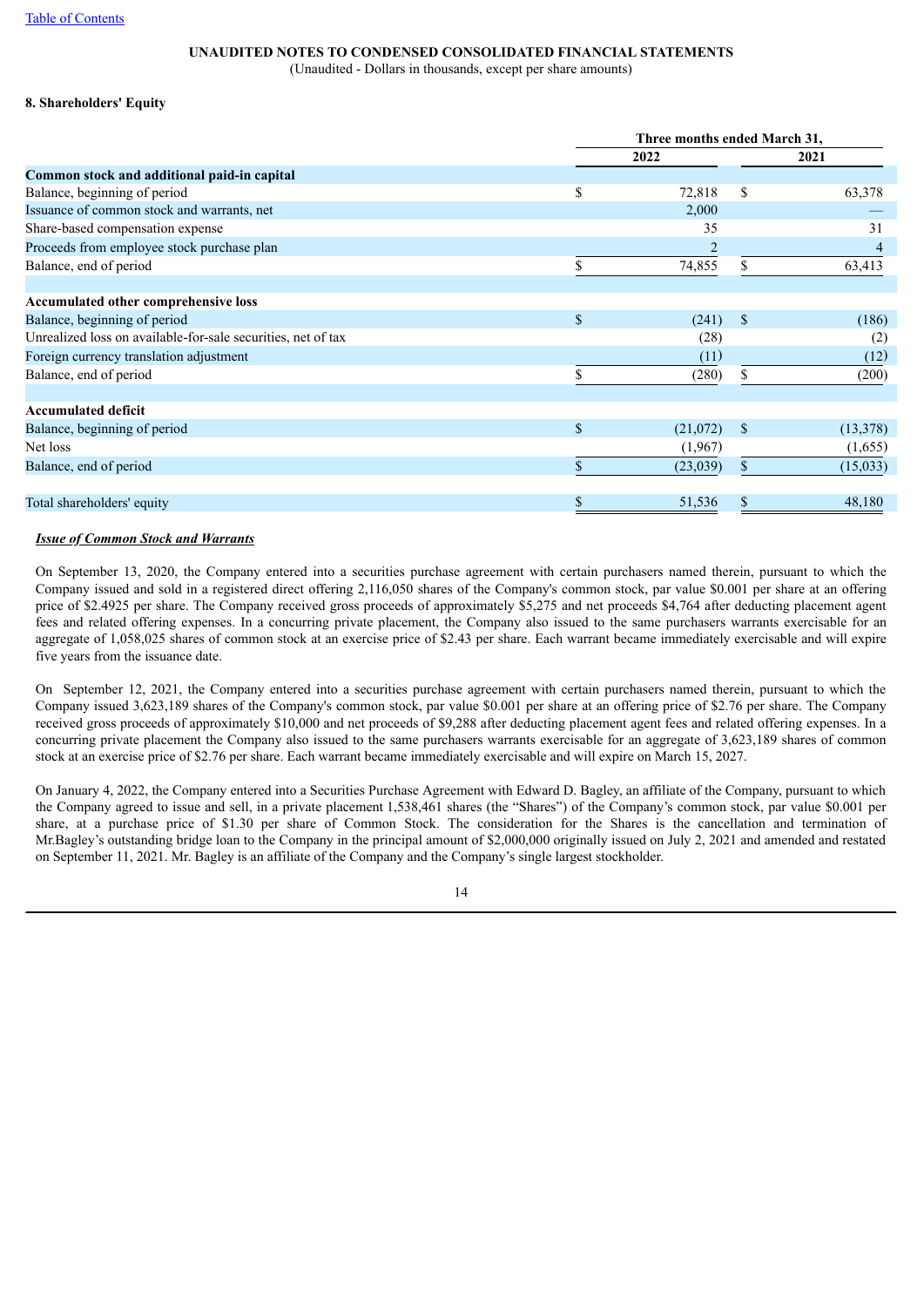(Unaudited - Dollars in thousands, except per share amounts)

#### **8. Shareholders' Equity**

|                                                              |    | Three months ended March 31, |               |           |  |
|--------------------------------------------------------------|----|------------------------------|---------------|-----------|--|
|                                                              |    | 2022                         |               | 2021      |  |
| Common stock and additional paid-in capital                  |    |                              |               |           |  |
| Balance, beginning of period                                 | \$ | 72,818                       | <sup>\$</sup> | 63,378    |  |
| Issuance of common stock and warrants, net                   |    | 2,000                        |               |           |  |
| Share-based compensation expense                             |    | 35                           |               | 31        |  |
| Proceeds from employee stock purchase plan                   |    | 2                            |               |           |  |
| Balance, end of period                                       |    | 74,855                       | S.            | 63,413    |  |
| Accumulated other comprehensive loss                         |    |                              |               |           |  |
| Balance, beginning of period                                 | \$ | (241)                        | <sup>\$</sup> | (186)     |  |
| Unrealized loss on available-for-sale securities, net of tax |    | (28)                         |               | (2)       |  |
| Foreign currency translation adjustment                      |    | (11)                         |               | (12)      |  |
| Balance, end of period                                       |    | (280)                        | \$            | (200)     |  |
| <b>Accumulated deficit</b>                                   |    |                              |               |           |  |
| Balance, beginning of period                                 | \$ | (21,072)                     | <sup>\$</sup> | (13, 378) |  |
| Net loss                                                     |    | (1,967)                      |               | (1,655)   |  |
| Balance, end of period                                       | S  | (23,039)                     | $\mathbb{S}$  | (15, 033) |  |
| Total shareholders' equity                                   | \$ | 51,536                       | \$            | 48,180    |  |

#### *Issue of Common Stock and Warrants*

On September 13, 2020, the Company entered into a securities purchase agreement with certain purchasers named therein, pursuant to which the Company issued and sold in a registered direct offering 2,116,050 shares of the Company's common stock, par value \$0.001 per share at an offering price of \$2.4925 per share. The Company received gross proceeds of approximately \$5,275 and net proceeds \$4,764 after deducting placement agent fees and related offering expenses. In a concurring private placement, the Company also issued to the same purchasers warrants exercisable for an aggregate of 1,058,025 shares of common stock at an exercise price of \$2.43 per share. Each warrant became immediately exercisable and will expire five years from the issuance date.

On September 12, 2021, the Company entered into a securities purchase agreement with certain purchasers named therein, pursuant to which the Company issued 3,623,189 shares of the Company's common stock, par value \$0.001 per share at an offering price of \$2.76 per share. The Company received gross proceeds of approximately \$10,000 and net proceeds of \$9,288 after deducting placement agent fees and related offering expenses. In a concurring private placement the Company also issued to the same purchasers warrants exercisable for an aggregate of 3,623,189 shares of common stock at an exercise price of \$2.76 per share. Each warrant became immediately exercisable and will expire on March 15, 2027.

On January 4, 2022, the Company entered into a Securities Purchase Agreement with Edward D. Bagley, an affiliate of the Company, pursuant to which the Company agreed to issue and sell, in a private placement 1,538,461 shares (the "Shares") of the Company's common stock, par value \$0.001 per share, at a purchase price of \$1.30 per share of Common Stock. The consideration for the Shares is the cancellation and termination of Mr.Bagley's outstanding bridge loan to the Company in the principal amount of \$2,000,000 originally issued on July 2, 2021 and amended and restated on September 11, 2021. Mr. Bagley is an affiliate of the Company and the Company's single largest stockholder.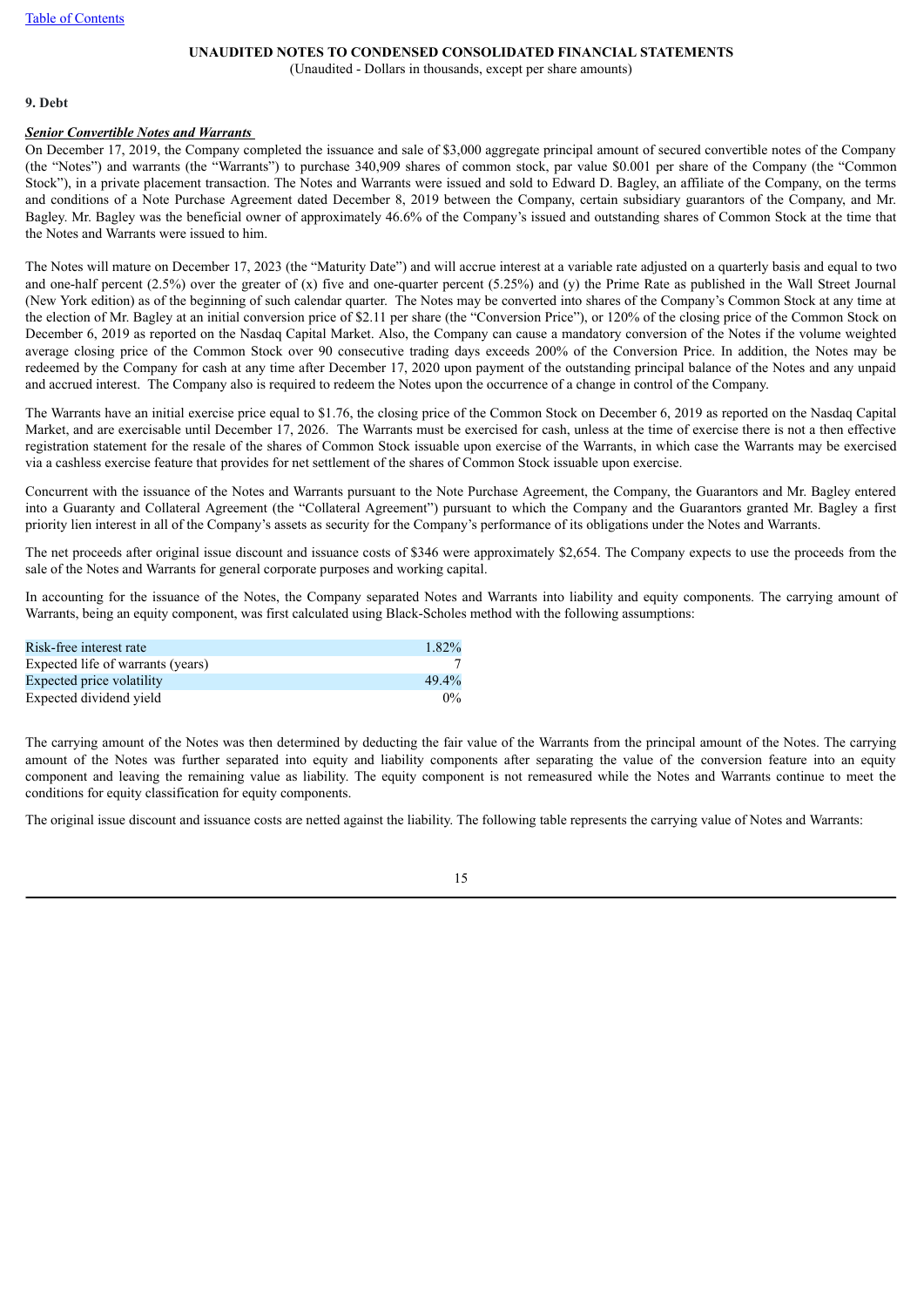(Unaudited - Dollars in thousands, except per share amounts)

#### **9. Debt**

#### *Senior Convertible Notes and Warrants*

On December 17, 2019, the Company completed the issuance and sale of \$3,000 aggregate principal amount of secured convertible notes of the Company (the "Notes") and warrants (the "Warrants") to purchase 340,909 shares of common stock, par value \$0.001 per share of the Company (the "Common Stock"), in a private placement transaction. The Notes and Warrants were issued and sold to Edward D. Bagley, an affiliate of the Company, on the terms and conditions of a Note Purchase Agreement dated December 8, 2019 between the Company, certain subsidiary guarantors of the Company, and Mr. Bagley. Mr. Bagley was the beneficial owner of approximately 46.6% of the Company's issued and outstanding shares of Common Stock at the time that the Notes and Warrants were issued to him.

The Notes will mature on December 17, 2023 (the "Maturity Date") and will accrue interest at a variable rate adjusted on a quarterly basis and equal to two and one-half percent  $(2.5%)$  over the greater of (x) five and one-quarter percent  $(5.25%)$  and (y) the Prime Rate as published in the Wall Street Journal (New York edition) as of the beginning of such calendar quarter. The Notes may be converted into shares of the Company's Common Stock at any time at the election of Mr. Bagley at an initial conversion price of \$2.11 per share (the "Conversion Price"), or 120% of the closing price of the Common Stock on December 6, 2019 as reported on the Nasdaq Capital Market. Also, the Company can cause a mandatory conversion of the Notes if the volume weighted average closing price of the Common Stock over 90 consecutive trading days exceeds 200% of the Conversion Price. In addition, the Notes may be redeemed by the Company for cash at any time after December 17, 2020 upon payment of the outstanding principal balance of the Notes and any unpaid and accrued interest. The Company also is required to redeem the Notes upon the occurrence of a change in control of the Company.

The Warrants have an initial exercise price equal to \$1.76, the closing price of the Common Stock on December 6, 2019 as reported on the Nasdaq Capital Market, and are exercisable until December 17, 2026. The Warrants must be exercised for cash, unless at the time of exercise there is not a then effective registration statement for the resale of the shares of Common Stock issuable upon exercise of the Warrants, in which case the Warrants may be exercised via a cashless exercise feature that provides for net settlement of the shares of Common Stock issuable upon exercise.

Concurrent with the issuance of the Notes and Warrants pursuant to the Note Purchase Agreement, the Company, the Guarantors and Mr. Bagley entered into a Guaranty and Collateral Agreement (the "Collateral Agreement") pursuant to which the Company and the Guarantors granted Mr. Bagley a first priority lien interest in all of the Company's assets as security for the Company's performance of its obligations under the Notes and Warrants.

The net proceeds after original issue discount and issuance costs of \$346 were approximately \$2,654. The Company expects to use the proceeds from the sale of the Notes and Warrants for general corporate purposes and working capital.

In accounting for the issuance of the Notes, the Company separated Notes and Warrants into liability and equity components. The carrying amount of Warrants, being an equity component, was first calculated using Black-Scholes method with the following assumptions:

| Risk-free interest rate           | 1.82%    |
|-----------------------------------|----------|
| Expected life of warrants (years) |          |
| Expected price volatility         | $49.4\%$ |
| Expected dividend yield           | $0\%$    |

The carrying amount of the Notes was then determined by deducting the fair value of the Warrants from the principal amount of the Notes. The carrying amount of the Notes was further separated into equity and liability components after separating the value of the conversion feature into an equity component and leaving the remaining value as liability. The equity component is not remeasured while the Notes and Warrants continue to meet the conditions for equity classification for equity components.

The original issue discount and issuance costs are netted against the liability. The following table represents the carrying value of Notes and Warrants:

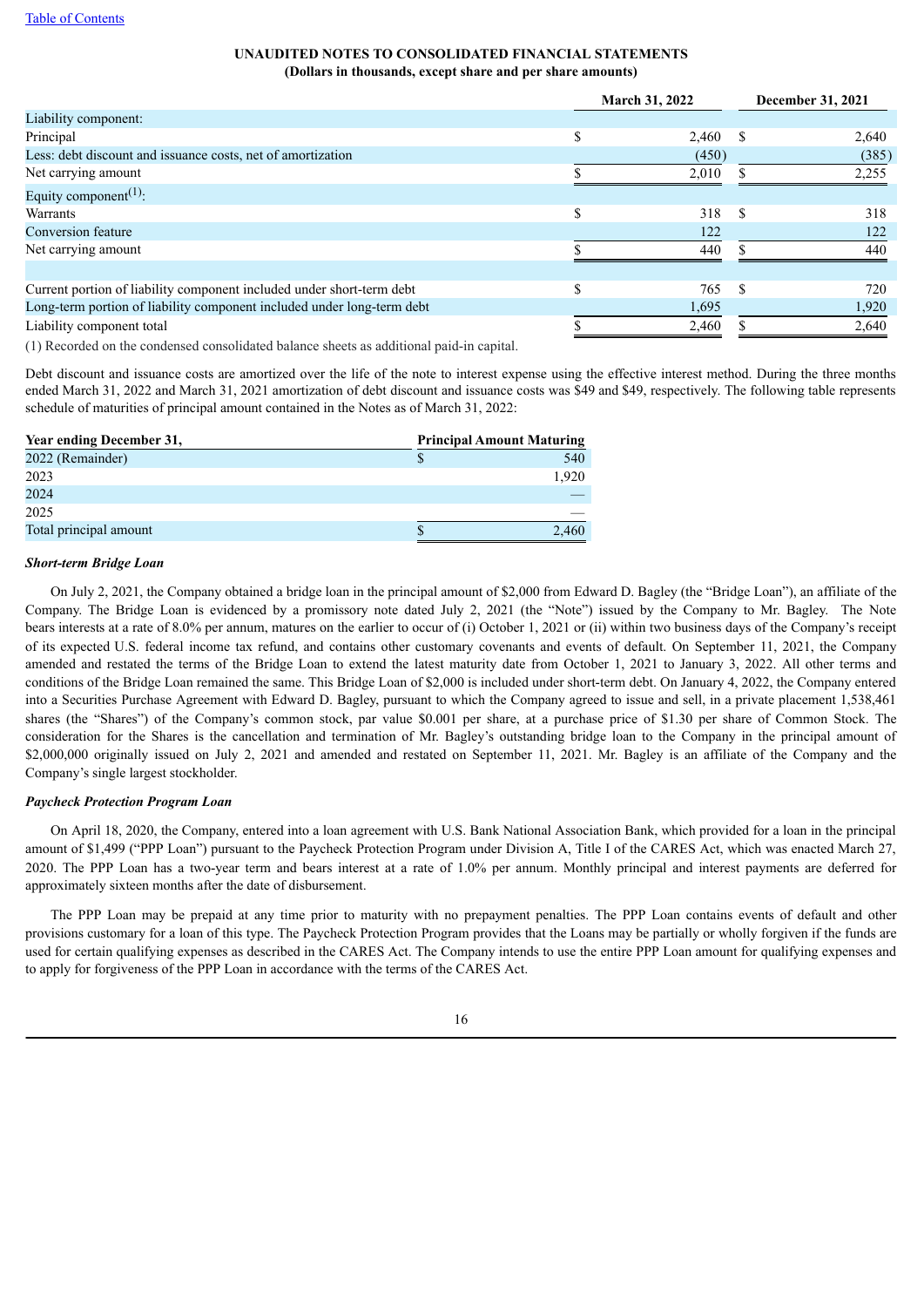#### **UNAUDITED NOTES TO CONSOLIDATED FINANCIAL STATEMENTS (Dollars in thousands, except share and per share amounts)**

|                                                                        | <b>March 31, 2022</b> | December 31, 2021 |
|------------------------------------------------------------------------|-----------------------|-------------------|
| Liability component:                                                   |                       |                   |
| Principal<br>ς                                                         | 2.460                 | 2,640             |
| Less: debt discount and issuance costs, net of amortization            | (450)                 | (385)             |
| Net carrying amount                                                    | 2.010                 | 2,255             |
| Equity component <sup>(1)</sup> :                                      |                       |                   |
| Warrants                                                               | 318                   | 318               |
| Conversion feature                                                     | 122                   | 122               |
| Net carrying amount                                                    | 440                   | 440               |
|                                                                        |                       |                   |
| Current portion of liability component included under short-term debt  | 765                   | 720               |
| Long-term portion of liability component included under long-term debt | 1,695                 | 1,920             |
| Liability component total                                              | 2,460                 | 2,640             |
|                                                                        |                       |                   |

(1) Recorded on the condensed consolidated balance sheets as additional paid-in capital.

Debt discount and issuance costs are amortized over the life of the note to interest expense using the effective interest method. During the three months ended March 31, 2022 and March 31, 2021 amortization of debt discount and issuance costs was \$49 and \$49, respectively. The following table represents schedule of maturities of principal amount contained in the Notes as of March 31, 2022:

| Year ending December 31, | <b>Principal Amount Maturing</b> |       |
|--------------------------|----------------------------------|-------|
| 2022 (Remainder)         |                                  | 540   |
| 2023                     |                                  | 1.920 |
| 2024                     |                                  |       |
| 2025                     |                                  |       |
| Total principal amount   |                                  | 2.460 |

#### *Short-term Bridge Loan*

On July 2, 2021, the Company obtained a bridge loan in the principal amount of \$2,000 from Edward D. Bagley (the "Bridge Loan"), an affiliate of the Company. The Bridge Loan is evidenced by a promissory note dated July 2, 2021 (the "Note") issued by the Company to Mr. Bagley. The Note bears interests at a rate of 8.0% per annum, matures on the earlier to occur of (i) October 1, 2021 or (ii) within two business days of the Company's receipt of its expected U.S. federal income tax refund, and contains other customary covenants and events of default. On September 11, 2021, the Company amended and restated the terms of the Bridge Loan to extend the latest maturity date from October 1, 2021 to January 3, 2022. All other terms and conditions of the Bridge Loan remained the same. This Bridge Loan of \$2,000 is included under short-term debt. On January 4, 2022, the Company entered into a Securities Purchase Agreement with Edward D. Bagley, pursuant to which the Company agreed to issue and sell, in a private placement 1,538,461 shares (the "Shares") of the Company's common stock, par value \$0.001 per share, at a purchase price of \$1.30 per share of Common Stock. The consideration for the Shares is the cancellation and termination of Mr. Bagley's outstanding bridge loan to the Company in the principal amount of \$2,000,000 originally issued on July 2, 2021 and amended and restated on September 11, 2021. Mr. Bagley is an affiliate of the Company and the Company's single largest stockholder.

#### *Paycheck Protection Program Loan*

On April 18, 2020, the Company, entered into a loan agreement with U.S. Bank National Association Bank, which provided for a loan in the principal amount of \$1,499 ("PPP Loan") pursuant to the Paycheck Protection Program under Division A, Title I of the CARES Act, which was enacted March 27, 2020. The PPP Loan has a two-year term and bears interest at a rate of 1.0% per annum. Monthly principal and interest payments are deferred for approximately sixteen months after the date of disbursement.

The PPP Loan may be prepaid at any time prior to maturity with no prepayment penalties. The PPP Loan contains events of default and other provisions customary for a loan of this type. The Paycheck Protection Program provides that the Loans may be partially or wholly forgiven if the funds are used for certain qualifying expenses as described in the CARES Act. The Company intends to use the entire PPP Loan amount for qualifying expenses and to apply for forgiveness of the PPP Loan in accordance with the terms of the CARES Act.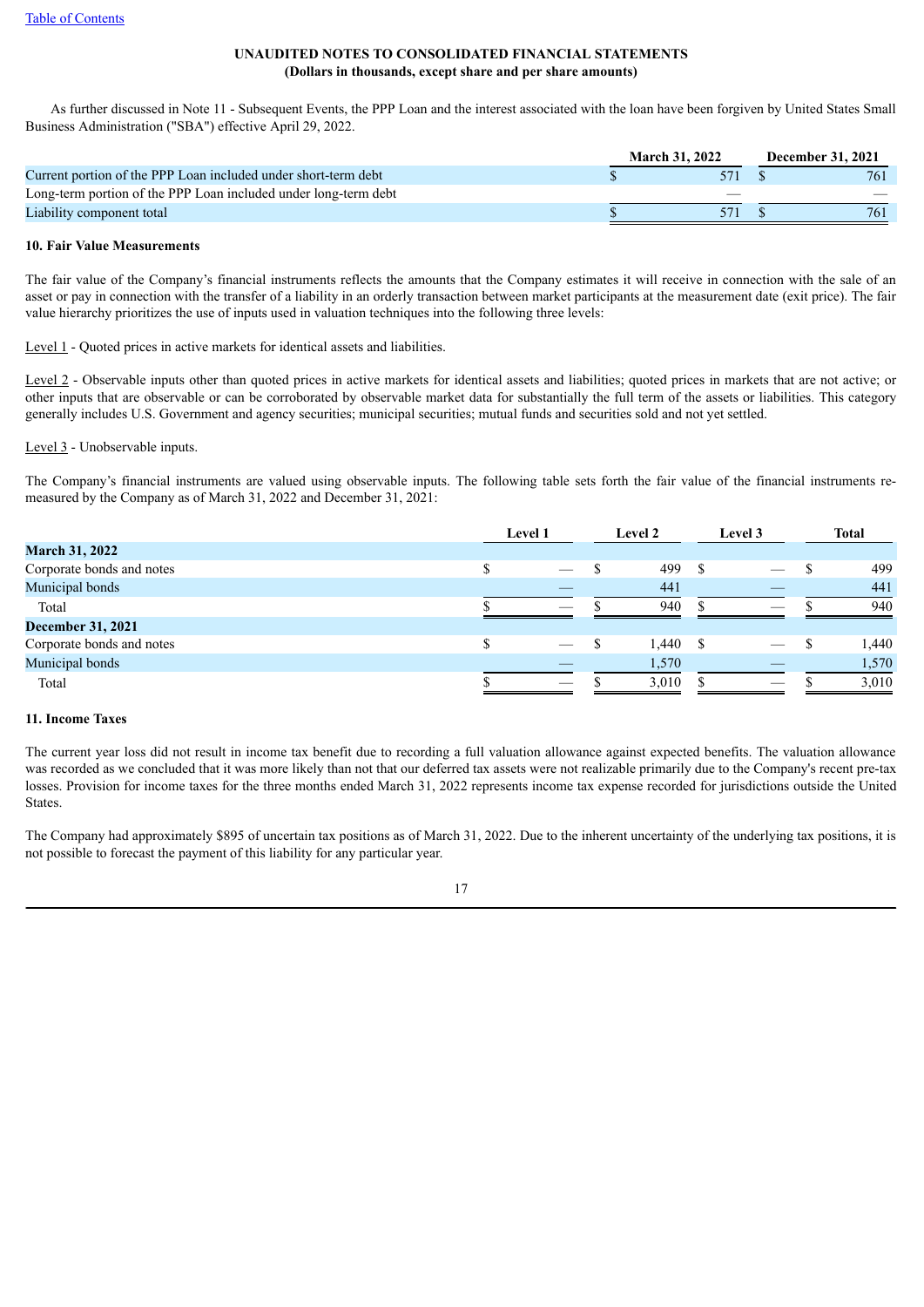### **UNAUDITED NOTES TO CONSOLIDATED FINANCIAL STATEMENTS (Dollars in thousands, except share and per share amounts)**

As further discussed in Note 11 - Subsequent Events, the PPP Loan and the interest associated with the loan have been forgiven by United States Small Business Administration ("SBA") effective April 29, 2022.

|                                                                 | <b>March 31, 2022</b> | <b>December 31, 2021</b> |
|-----------------------------------------------------------------|-----------------------|--------------------------|
| Current portion of the PPP Loan included under short-term debt  |                       | 761                      |
| Long-term portion of the PPP Loan included under long-term debt |                       |                          |
| Liability component total                                       |                       | 761                      |

#### **10. Fair Value Measurements**

The fair value of the Company's financial instruments reflects the amounts that the Company estimates it will receive in connection with the sale of an asset or pay in connection with the transfer of a liability in an orderly transaction between market participants at the measurement date (exit price). The fair value hierarchy prioritizes the use of inputs used in valuation techniques into the following three levels:

Level 1 - Quoted prices in active markets for identical assets and liabilities.

Level 2 - Observable inputs other than quoted prices in active markets for identical assets and liabilities; quoted prices in markets that are not active; or other inputs that are observable or can be corroborated by observable market data for substantially the full term of the assets or liabilities. This category generally includes U.S. Government and agency securities; municipal securities; mutual funds and securities sold and not yet settled.

#### Level 3 - Unobservable inputs.

The Company's financial instruments are valued using observable inputs. The following table sets forth the fair value of the financial instruments remeasured by the Company as of March 31, 2022 and December 31, 2021:

|                           | Level 1                  | <b>Level 2</b> | Level 3 | <b>Total</b> |
|---------------------------|--------------------------|----------------|---------|--------------|
| <b>March 31, 2022</b>     |                          |                |         |              |
| Corporate bonds and notes | $\overline{\phantom{0}}$ | 499            |         | 499          |
| Municipal bonds           |                          | 441            |         | 441          |
| Total                     |                          | 940            | __      | 940          |
| <b>December 31, 2021</b>  |                          |                |         |              |
| Corporate bonds and notes |                          | 1,440          |         | 1,440        |
| Municipal bonds           |                          | 1,570          |         | 1,570        |
| Total                     |                          | 3.010          | _       | 3,010        |

#### **11. Income Taxes**

The current year loss did not result in income tax benefit due to recording a full valuation allowance against expected benefits. The valuation allowance was recorded as we concluded that it was more likely than not that our deferred tax assets were not realizable primarily due to the Company's recent pre-tax losses. Provision for income taxes for the three months ended March 31, 2022 represents income tax expense recorded for jurisdictions outside the United **States**.

The Company had approximately \$895 of uncertain tax positions as of March 31, 2022. Due to the inherent uncertainty of the underlying tax positions, it is not possible to forecast the payment of this liability for any particular year.

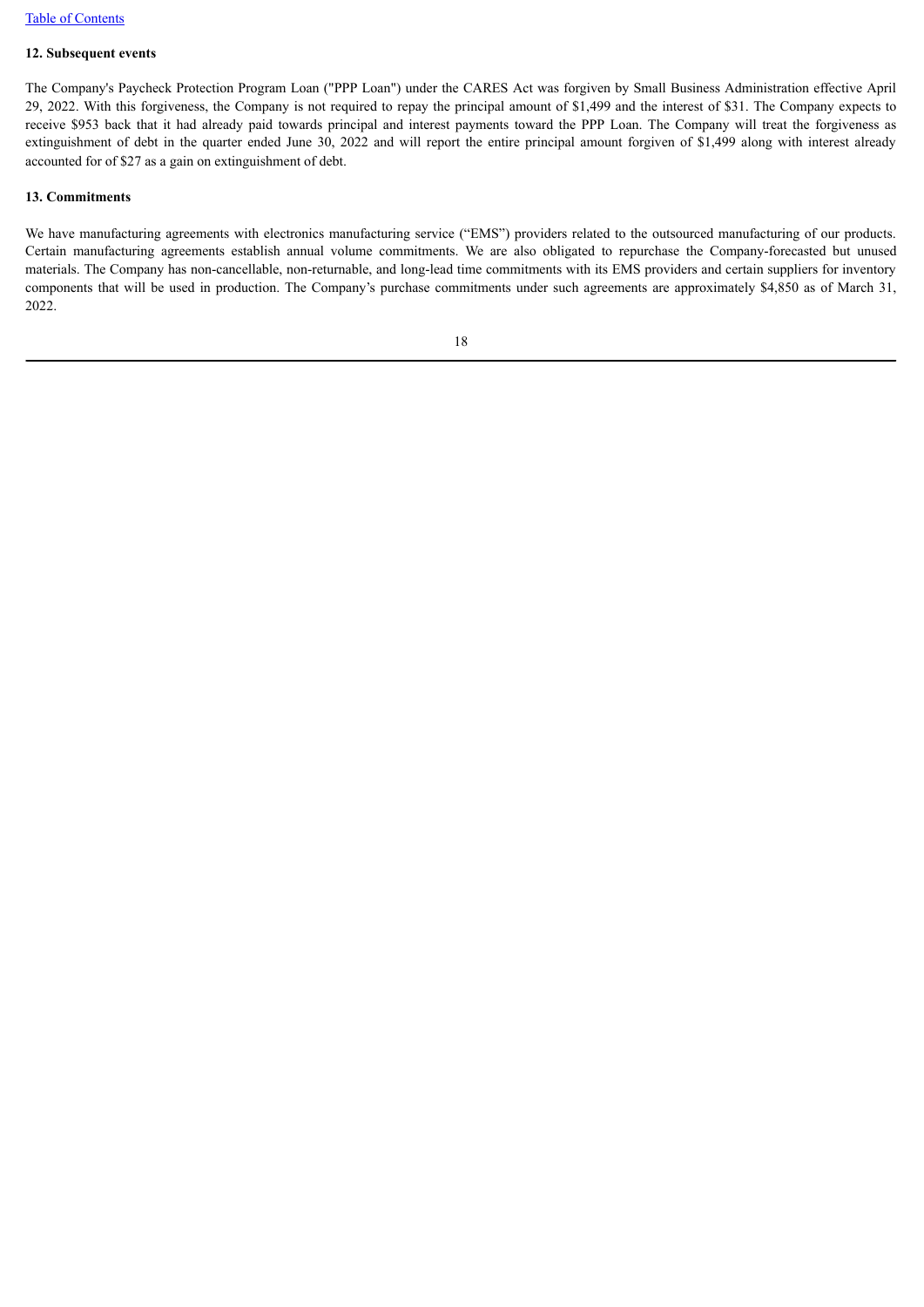#### **12. Subsequent events**

The Company's Paycheck Protection Program Loan ("PPP Loan") under the CARES Act was forgiven by Small Business Administration effective April 29, 2022. With this forgiveness, the Company is not required to repay the principal amount of \$1,499 and the interest of \$31. The Company expects to receive \$953 back that it had already paid towards principal and interest payments toward the PPP Loan. The Company will treat the forgiveness as extinguishment of debt in the quarter ended June 30, 2022 and will report the entire principal amount forgiven of \$1,499 along with interest already accounted for of \$27 as a gain on extinguishment of debt.

### **13. Commitments**

We have manufacturing agreements with electronics manufacturing service ("EMS") providers related to the outsourced manufacturing of our products. Certain manufacturing agreements establish annual volume commitments. We are also obligated to repurchase the Company-forecasted but unused materials. The Company has non-cancellable, non-returnable, and long-lead time commitments with its EMS providers and certain suppliers for inventory components that will be used in production. The Company's purchase commitments under such agreements are approximately \$4,850 as of March 31, 2022.

| I                 |
|-------------------|
| I                 |
| I<br>×<br>×<br>۰, |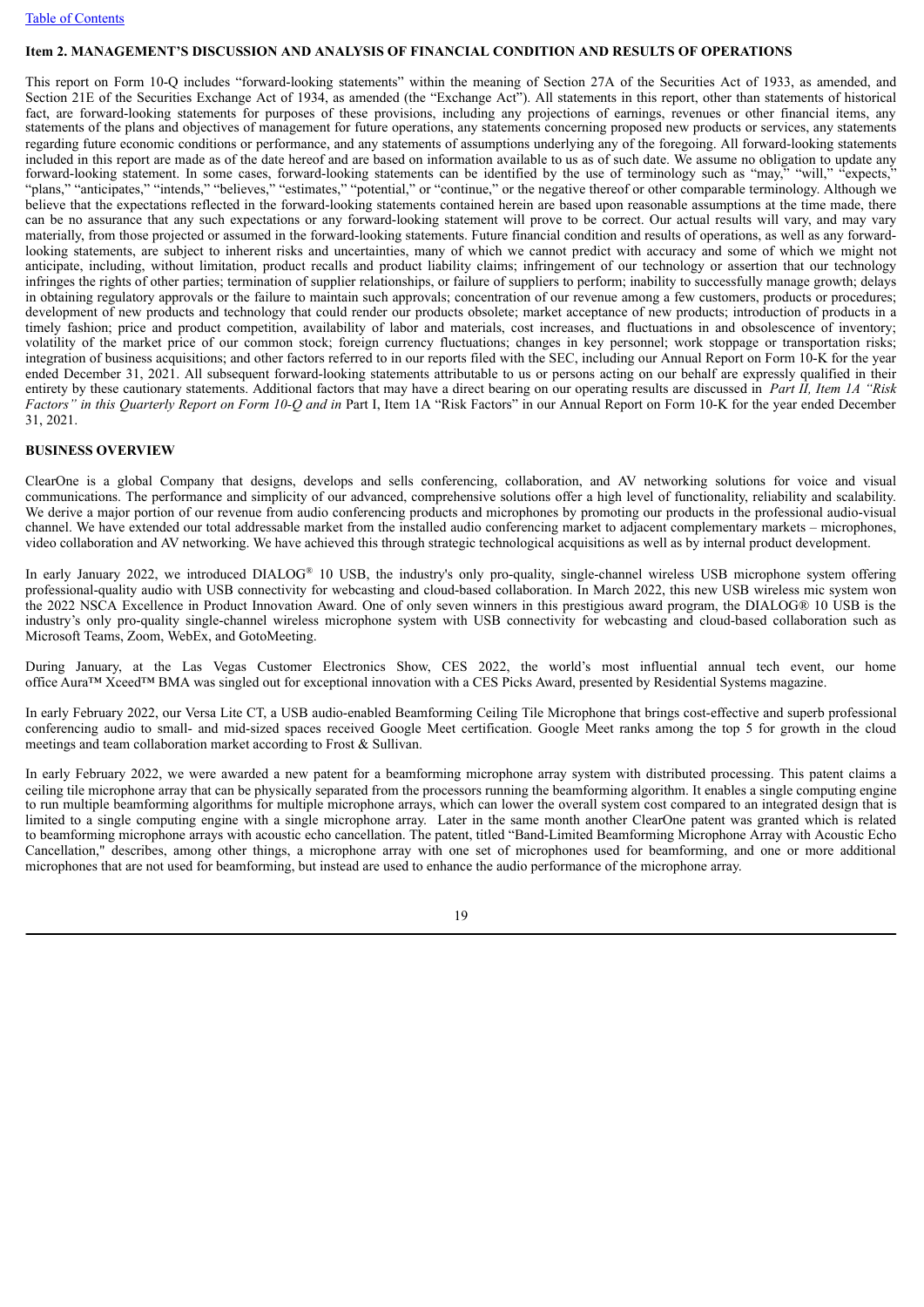#### <span id="page-18-0"></span>**Item 2. MANAGEMENT'S DISCUSSION AND ANALYSIS OF FINANCIAL CONDITION AND RESULTS OF OPERATIONS**

This report on Form 10-Q includes "forward-looking statements" within the meaning of Section 27A of the Securities Act of 1933, as amended, and Section 21E of the Securities Exchange Act of 1934, as amended (the "Exchange Act"). All statements in this report, other than statements of historical fact, are forward-looking statements for purposes of these provisions, including any projections of earnings, revenues or other financial items, any statements of the plans and objectives of management for future operations, any statements concerning proposed new products or services, any statements regarding future economic conditions or performance, and any statements of assumptions underlying any of the foregoing. All forward-looking statements included in this report are made as of the date hereof and are based on information available to us as of such date. We assume no obligation to update any forward-looking statement. In some cases, forward-looking statements can be identified by the use of terminology such as "may," "will," "expects," "plans," "anticipates," "intends," "believes," "estimates," "potential," or "continue," or the negative thereof or other comparable terminology. Although we believe that the expectations reflected in the forward-looking statements contained herein are based upon reasonable assumptions at the time made, there can be no assurance that any such expectations or any forward-looking statement will prove to be correct. Our actual results will vary, and may vary materially, from those projected or assumed in the forward-looking statements. Future financial condition and results of operations, as well as any forwardlooking statements, are subject to inherent risks and uncertainties, many of which we cannot predict with accuracy and some of which we might not anticipate, including, without limitation, product recalls and product liability claims; infringement of our technology or assertion that our technology infringes the rights of other parties; termination of supplier relationships, or failure of suppliers to perform; inability to successfully manage growth; delays in obtaining regulatory approvals or the failure to maintain such approvals; concentration of our revenue among a few customers, products or procedures; development of new products and technology that could render our products obsolete; market acceptance of new products; introduction of products in a timely fashion; price and product competition, availability of labor and materials, cost increases, and fluctuations in and obsolescence of inventory; volatility of the market price of our common stock; foreign currency fluctuations; changes in key personnel; work stoppage or transportation risks; integration of business acquisitions; and other factors referred to in our reports filed with the SEC, including our Annual Report on Form 10-K for the year ended December 31, 2021. All subsequent forward-looking statements attributable to us or persons acting on our behalf are expressly qualified in their entirety by these cautionary statements. Additional factors that may have a direct bearing on our operating results are discussed in *Part II, Item 1A "Risk Factors" in this Quarterly Report on Form 10-Q and in* Part I, Item 1A "Risk Factors" in our Annual Report on Form 10-K for the year ended December 31, 2021.

#### **BUSINESS OVERVIEW**

ClearOne is a global Company that designs, develops and sells conferencing, collaboration, and AV networking solutions for voice and visual communications. The performance and simplicity of our advanced, comprehensive solutions offer a high level of functionality, reliability and scalability. We derive a major portion of our revenue from audio conferencing products and microphones by promoting our products in the professional audio-visual channel. We have extended our total addressable market from the installed audio conferencing market to adjacent complementary markets – microphones, video collaboration and AV networking. We have achieved this through strategic technological acquisitions as well as by internal product development.

In early January 2022, we introduced DIALOG® 10 USB, the industry's only pro-quality, single-channel wireless USB microphone system offering professional-quality audio with USB connectivity for webcasting and cloud-based collaboration. In March 2022, this new USB wireless mic system won the 2022 NSCA Excellence in Product Innovation Award. One of only seven winners in this prestigious award program, the DIALOG® 10 USB is the industry's only pro-quality single-channel wireless microphone system with USB connectivity for webcasting and cloud-based collaboration such as Microsoft Teams, Zoom, WebEx, and GotoMeeting.

During January, at the Las Vegas Customer Electronics Show, CES 2022, the world's most influential annual tech event, our home office Aura™ Xceed™ BMA was singled out for exceptional innovation with a CES Picks Award, presented by Residential Systems magazine.

In early February 2022, our Versa Lite CT, a USB audio-enabled Beamforming Ceiling Tile Microphone that brings cost-effective and superb professional conferencing audio to small- and mid-sized spaces received Google Meet certification. Google Meet ranks among the top 5 for growth in the cloud meetings and team collaboration market according to Frost & Sullivan.

In early February 2022, we were awarded a new patent for a beamforming microphone array system with distributed processing. This patent claims a ceiling tile microphone array that can be physically separated from the processors running the beamforming algorithm. It enables a single computing engine to run multiple beamforming algorithms for multiple microphone arrays, which can lower the overall system cost compared to an integrated design that is limited to a single computing engine with a single microphone array. Later in the same month another ClearOne patent was granted which is related to beamforming microphone arrays with acoustic echo cancellation. The patent, titled "Band-Limited Beamforming Microphone Array with Acoustic Echo Cancellation," describes, among other things, a microphone array with one set of microphones used for beamforming, and one or more additional microphones that are not used for beamforming, but instead are used to enhance the audio performance of the microphone array.

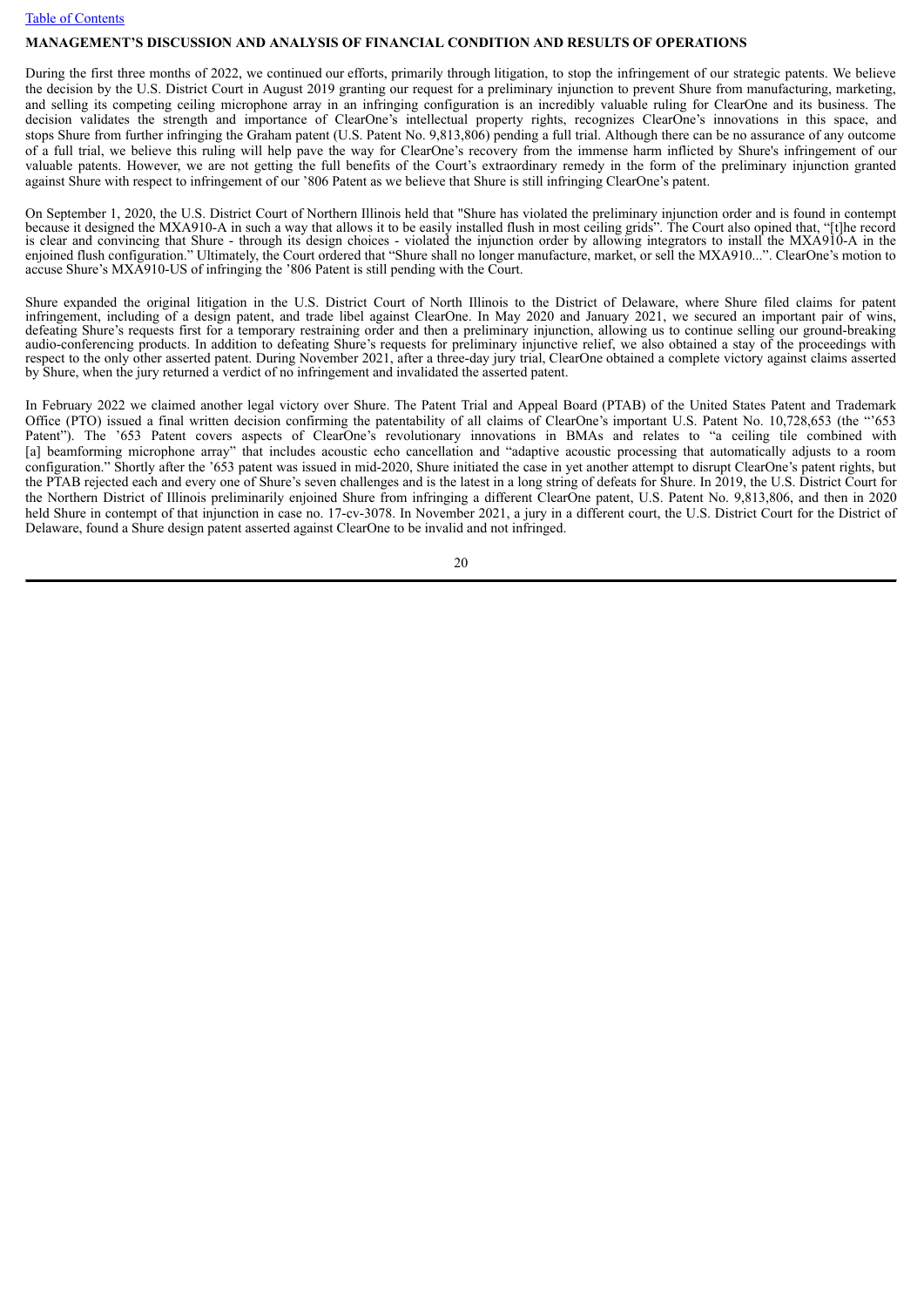#### **MANAGEMENT'S DISCUSSION AND ANALYSIS OF FINANCIAL CONDITION AND RESULTS OF OPERATIONS**

During the first three months of 2022, we continued our efforts, primarily through litigation, to stop the infringement of our strategic patents. We believe the decision by the U.S. District Court in August 2019 granting our request for a preliminary injunction to prevent Shure from manufacturing, marketing, and selling its competing ceiling microphone array in an infringing configuration is an incredibly valuable ruling for ClearOne and its business. The decision validates the strength and importance of ClearOne's intellectual property rights, recognizes ClearOne's innovations in this space, and stops Shure from further infringing the Graham patent (U.S. Patent No. 9,813,806) pending a full trial. Although there can be no assurance of any outcome of a full trial, we believe this ruling will help pave the way for ClearOne's recovery from the immense harm inflicted by Shure's infringement of our valuable patents. However, we are not getting the full benefits of the Court's extraordinary remedy in the form of the preliminary injunction granted against Shure with respect to infringement of our '806 Patent as we believe that Shure is still infringing ClearOne's patent.

On September 1, 2020, the U.S. District Court of Northern Illinois held that "Shure has violated the preliminary injunction order and is found in contempt because it designed the MXA910-A in such a way that allows it to be easily installed flush in most ceiling grids". The Court also opined that, "[t]he record is clear and convincing that Shure - through its design choices - violated the injunction order by allowing integrators to install the MXA910-A in the enjoined flush configuration." Ultimately, the Court ordered that "Shure shall no longer manufacture, market, or sell the MXA910...". ClearOne's motion to accuse Shure's MXA910-US of infringing the '806 Patent is still pending with the Court.

Shure expanded the original litigation in the U.S. District Court of North Illinois to the District of Delaware, where Shure filed claims for patent infringement, including of a design patent, and trade libel against ClearOne. In May 2020 and January 2021, we secured an important pair of wins, defeating Shure's requests first for a temporary restraining order and then a preliminary injunction, allowing us to continue selling our ground-breaking audio-conferencing products. In addition to defeating Shure's requests for preliminary injunctive relief, we also obtained a stay of the proceedings with respect to the only other asserted patent. During November 2021, after a three-day jury trial, ClearOne obtained a complete victory against claims asserted by Shure, when the jury returned a verdict of no infringement and invalidated the asserted patent.

In February 2022 we claimed another legal victory over Shure. The Patent Trial and Appeal Board (PTAB) of the United States Patent and Trademark Office (PTO) issued a final written decision confirming the patentability of all claims of ClearOne's important U.S. Patent No. 10,728,653 (the "'653 Patent"). The '653 Patent covers aspects of ClearOne's revolutionary innovations in BMAs and relates to "a ceiling tile combined with [a] beamforming microphone array" that includes acoustic echo cancellation and "adaptive acoustic processing that automatically adjusts to a room configuration." Shortly after the '653 patent was issued in mid-2020, Shure initiated the case in yet another attempt to disrupt ClearOne's patent rights, but the PTAB rejected each and every one of Shure's seven challenges and is the latest in a long string of defeats for Shure. In 2019, the U.S. District Court for the Northern District of Illinois preliminarily enjoined Shure from infringing a different ClearOne patent, U.S. Patent No. 9,813,806, and then in 2020 held Shure in contempt of that injunction in case no. 17-cv-3078. In November 2021, a jury in a different court, the U.S. District Court for the District of Delaware, found a Shure design patent asserted against ClearOne to be invalid and not infringed.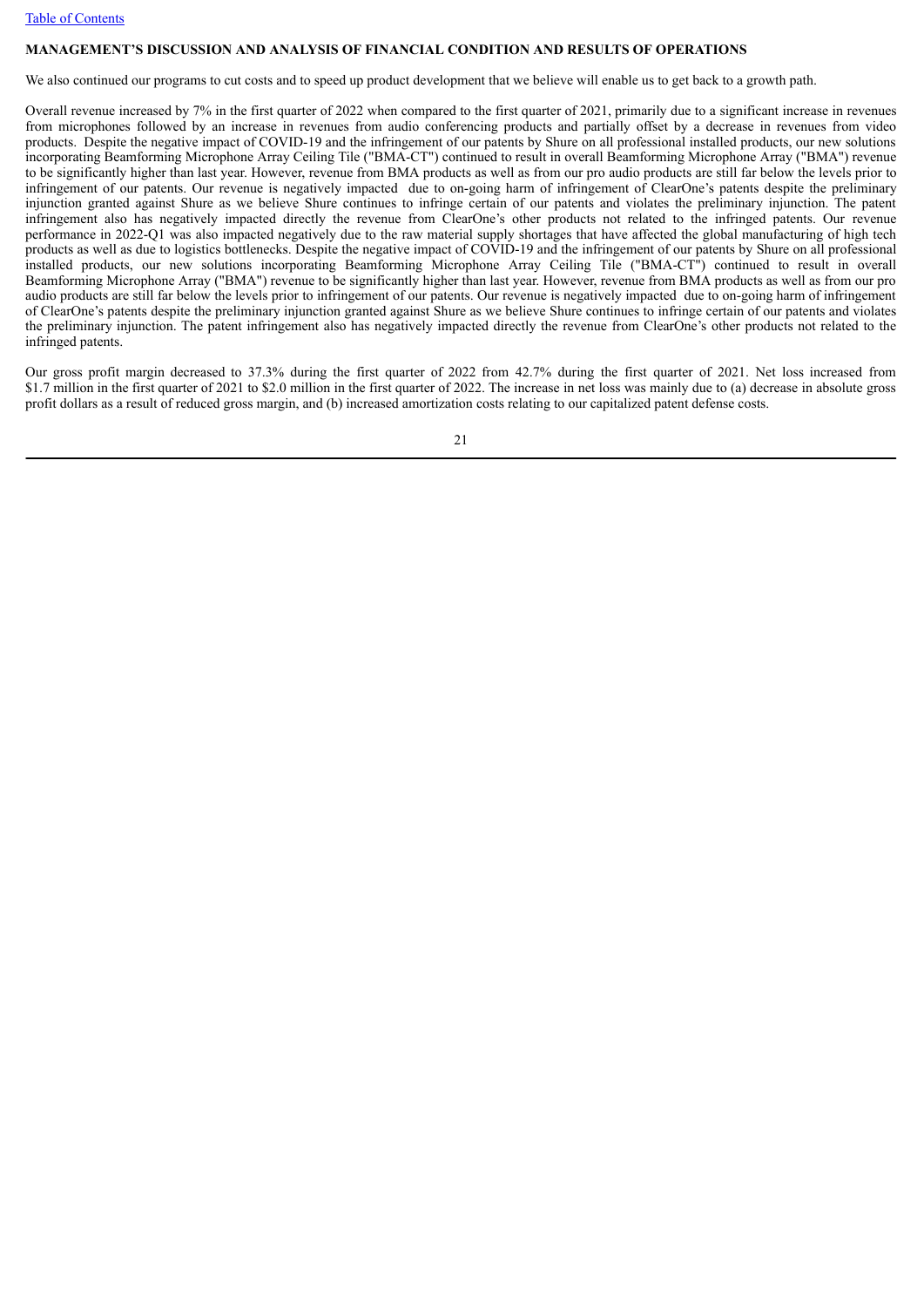#### **MANAGEMENT'S DISCUSSION AND ANALYSIS OF FINANCIAL CONDITION AND RESULTS OF OPERATIONS**

We also continued our programs to cut costs and to speed up product development that we believe will enable us to get back to a growth path.

Overall revenue increased by 7% in the first quarter of 2022 when compared to the first quarter of 2021, primarily due to a significant increase in revenues from microphones followed by an increase in revenues from audio conferencing products and partially offset by a decrease in revenues from video products. Despite the negative impact of COVID-19 and the infringement of our patents by Shure on all professional installed products, our new solutions incorporating Beamforming Microphone Array Ceiling Tile ("BMA-CT") continued to result in overall Beamforming Microphone Array ("BMA") revenue to be significantly higher than last year. However, revenue from BMA products as well as from our pro audio products are still far below the levels prior to infringement of our patents. Our revenue is negatively impacted due to on-going harm of infringement of ClearOne's patents despite the preliminary injunction granted against Shure as we believe Shure continues to infringe certain of our patents and violates the preliminary injunction. The patent infringement also has negatively impacted directly the revenue from ClearOne's other products not related to the infringed patents. Our revenue performance in 2022-Q1 was also impacted negatively due to the raw material supply shortages that have affected the global manufacturing of high tech products as well as due to logistics bottlenecks. Despite the negative impact of COVID-19 and the infringement of our patents by Shure on all professional installed products, our new solutions incorporating Beamforming Microphone Array Ceiling Tile ("BMA-CT") continued to result in overall Beamforming Microphone Array ("BMA") revenue to be significantly higher than last year. However, revenue from BMA products as well as from our pro audio products are still far below the levels prior to infringement of our patents. Our revenue is negatively impacted due to on-going harm of infringement of ClearOne's patents despite the preliminary injunction granted against Shure as we believe Shure continues to infringe certain of our patents and violates the preliminary injunction. The patent infringement also has negatively impacted directly the revenue from ClearOne's other products not related to the infringed patents.

Our gross profit margin decreased to 37.3% during the first quarter of 2022 from 42.7% during the first quarter of 2021. Net loss increased from \$1.7 million in the first quarter of 2021 to \$2.0 million in the first quarter of 2022. The increase in net loss was mainly due to (a) decrease in absolute gross profit dollars as a result of reduced gross margin, and (b) increased amortization costs relating to our capitalized patent defense costs.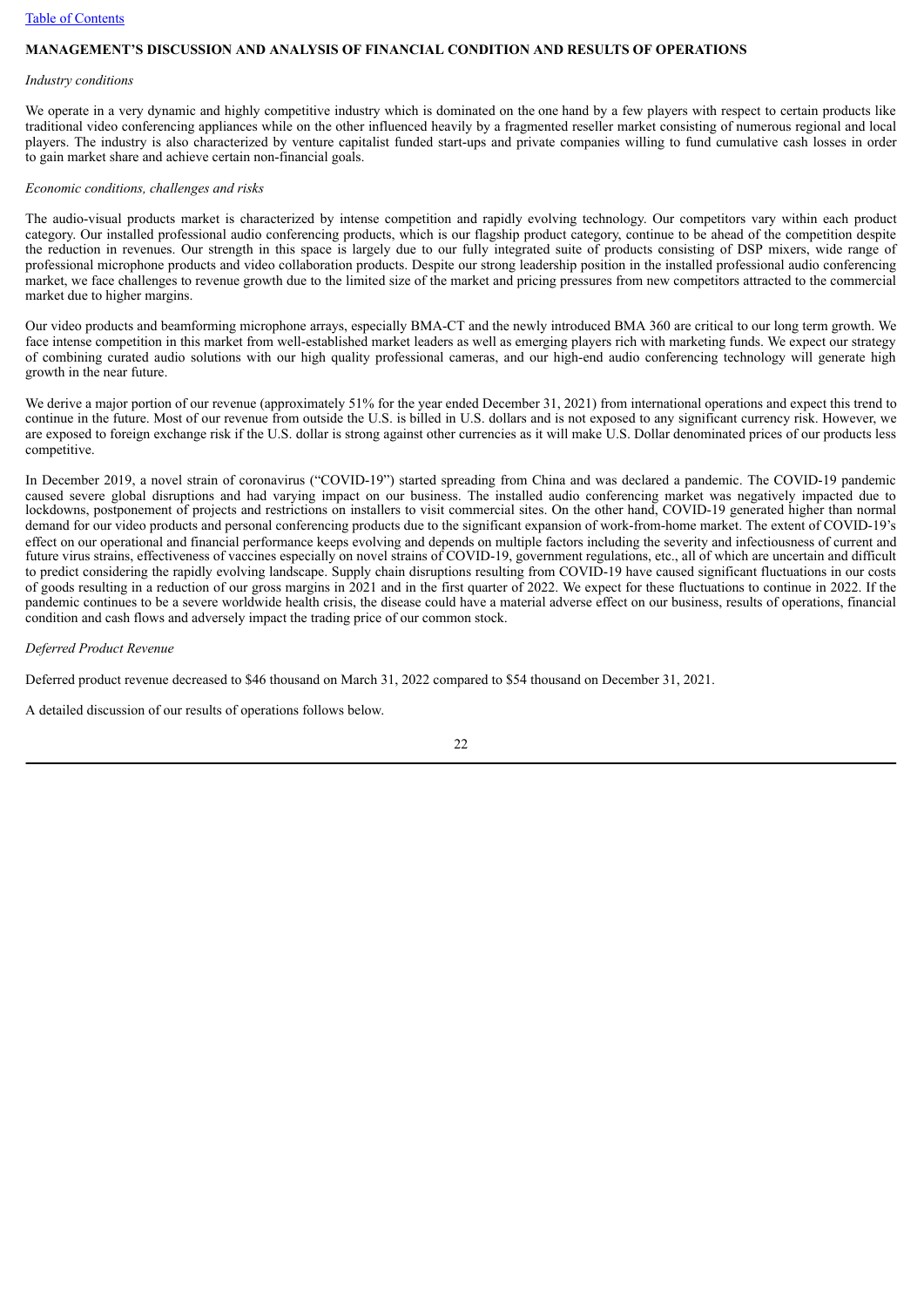### **MANAGEMENT'S DISCUSSION AND ANALYSIS OF FINANCIAL CONDITION AND RESULTS OF OPERATIONS**

### *Industry conditions*

We operate in a very dynamic and highly competitive industry which is dominated on the one hand by a few players with respect to certain products like traditional video conferencing appliances while on the other influenced heavily by a fragmented reseller market consisting of numerous regional and local players. The industry is also characterized by venture capitalist funded start-ups and private companies willing to fund cumulative cash losses in order to gain market share and achieve certain non-financial goals.

### *Economic conditions, challenges and risks*

The audio-visual products market is characterized by intense competition and rapidly evolving technology. Our competitors vary within each product category. Our installed professional audio conferencing products, which is our flagship product category, continue to be ahead of the competition despite the reduction in revenues. Our strength in this space is largely due to our fully integrated suite of products consisting of DSP mixers, wide range of professional microphone products and video collaboration products. Despite our strong leadership position in the installed professional audio conferencing market, we face challenges to revenue growth due to the limited size of the market and pricing pressures from new competitors attracted to the commercial market due to higher margins.

Our video products and beamforming microphone arrays, especially BMA-CT and the newly introduced BMA 360 are critical to our long term growth. We face intense competition in this market from well-established market leaders as well as emerging players rich with marketing funds. We expect our strategy of combining curated audio solutions with our high quality professional cameras, and our high-end audio conferencing technology will generate high growth in the near future.

We derive a major portion of our revenue (approximately 51% for the year ended December 31, 2021) from international operations and expect this trend to continue in the future. Most of our revenue from outside the U.S. is billed in U.S. dollars and is not exposed to any significant currency risk. However, we are exposed to foreign exchange risk if the U.S. dollar is strong against other currencies as it will make U.S. Dollar denominated prices of our products less competitive.

In December 2019, a novel strain of coronavirus ("COVID-19") started spreading from China and was declared a pandemic. The COVID-19 pandemic caused severe global disruptions and had varying impact on our business. The installed audio conferencing market was negatively impacted due to lockdowns, postponement of projects and restrictions on installers to visit commercial sites. On the other hand, COVID-19 generated higher than normal demand for our video products and personal conferencing products due to the significant expansion of work-from-home market. The extent of COVID-19's effect on our operational and financial performance keeps evolving and depends on multiple factors including the severity and infectiousness of current and future virus strains, effectiveness of vaccines especially on novel strains of COVID-19, government regulations, etc., all of which are uncertain and difficult to predict considering the rapidly evolving landscape. Supply chain disruptions resulting from COVID-19 have caused significant fluctuations in our costs of goods resulting in a reduction of our gross margins in 2021 and in the first quarter of 2022. We expect for these fluctuations to continue in 2022. If the pandemic continues to be a severe worldwide health crisis, the disease could have a material adverse effect on our business, results of operations, financial condition and cash flows and adversely impact the trading price of our common stock.

### *Deferred Product Revenue*

Deferred product revenue decreased to \$46 thousand on March 31, 2022 compared to \$54 thousand on December 31, 2021.

A detailed discussion of our results of operations follows below.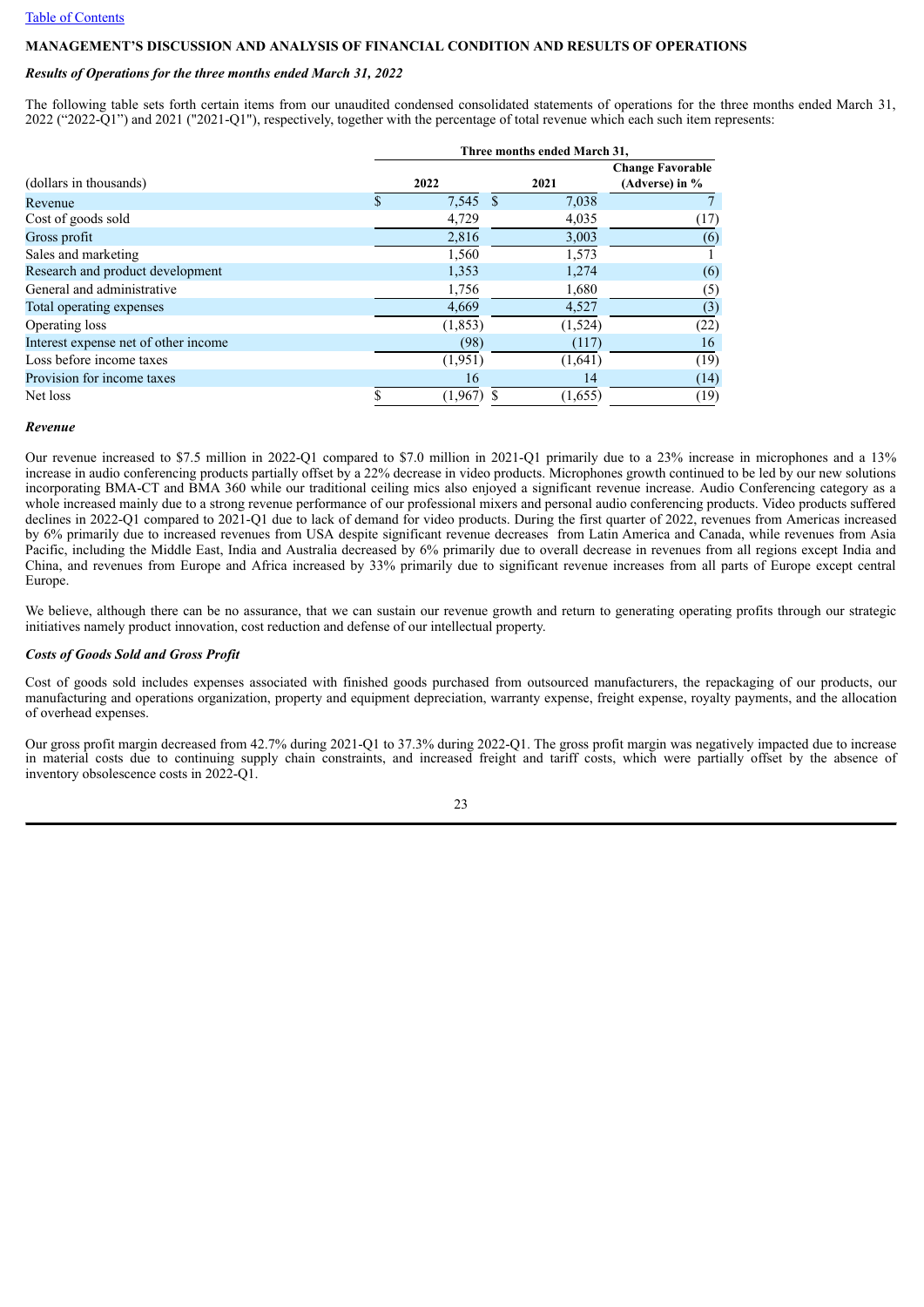### **MANAGEMENT'S DISCUSSION AND ANALYSIS OF FINANCIAL CONDITION AND RESULTS OF OPERATIONS**

# *Results of Operations for the three months ended March 31, 2022*

The following table sets forth certain items from our unaudited condensed consolidated statements of operations for the three months ended March 31, 2022 ("2022-Q1") and 2021 ("2021-Q1"), respectively, together with the percentage of total revenue which each such item represents:

|                                      | Three months ended March 31, |         |                                           |  |  |  |  |
|--------------------------------------|------------------------------|---------|-------------------------------------------|--|--|--|--|
| (dollars in thousands)               | 2022                         | 2021    | <b>Change Favorable</b><br>(Adverse) in % |  |  |  |  |
| Revenue                              | 7,545 \$                     | 7,038   |                                           |  |  |  |  |
| Cost of goods sold                   | 4,729                        | 4,035   | (17)                                      |  |  |  |  |
| Gross profit                         | 2,816                        | 3,003   | (6)                                       |  |  |  |  |
| Sales and marketing                  | 1,560                        | 1,573   |                                           |  |  |  |  |
| Research and product development     | 1,353                        | 1,274   | (6)                                       |  |  |  |  |
| General and administrative           | 1,756                        | 1,680   | (5)                                       |  |  |  |  |
| Total operating expenses             | 4,669                        | 4,527   | (3)                                       |  |  |  |  |
| Operating loss                       | (1, 853)                     | (1,524) | (22)                                      |  |  |  |  |
| Interest expense net of other income | (98)                         | (117)   | 16                                        |  |  |  |  |
| Loss before income taxes             | (1,951)                      | (1,641) | (19)                                      |  |  |  |  |
| Provision for income taxes           | 16                           | 14      | (14)                                      |  |  |  |  |
| Net loss                             | (1,967)                      | (1,655) | (19)                                      |  |  |  |  |

#### *Revenue*

Our revenue increased to \$7.5 million in 2022-Q1 compared to \$7.0 million in 2021-Q1 primarily due to a 23% increase in microphones and a 13% increase in audio conferencing products partially offset by a 22% decrease in video products. Microphones growth continued to be led by our new solutions incorporating BMA-CT and BMA 360 while our traditional ceiling mics also enjoyed a significant revenue increase. Audio Conferencing category as a whole increased mainly due to a strong revenue performance of our professional mixers and personal audio conferencing products. Video products suffered declines in 2022-Q1 compared to 2021-Q1 due to lack of demand for video products. During the first quarter of 2022, revenues from Americas increased by 6% primarily due to increased revenues from USA despite significant revenue decreases from Latin America and Canada, while revenues from Asia Pacific, including the Middle East, India and Australia decreased by 6% primarily due to overall decrease in revenues from all regions except India and China, and revenues from Europe and Africa increased by 33% primarily due to significant revenue increases from all parts of Europe except central Europe.

We believe, although there can be no assurance, that we can sustain our revenue growth and return to generating operating profits through our strategic initiatives namely product innovation, cost reduction and defense of our intellectual property.

#### *Costs of Goods Sold and Gross Profit*

Cost of goods sold includes expenses associated with finished goods purchased from outsourced manufacturers, the repackaging of our products, our manufacturing and operations organization, property and equipment depreciation, warranty expense, freight expense, royalty payments, and the allocation of overhead expenses.

Our gross profit margin decreased from 42.7% during 2021-Q1 to 37.3% during 2022-Q1. The gross profit margin was negatively impacted due to increase in material costs due to continuing supply chain constraints, and increased freight and tariff costs, which were partially offset by the absence of inventory obsolescence costs in 2022-Q1.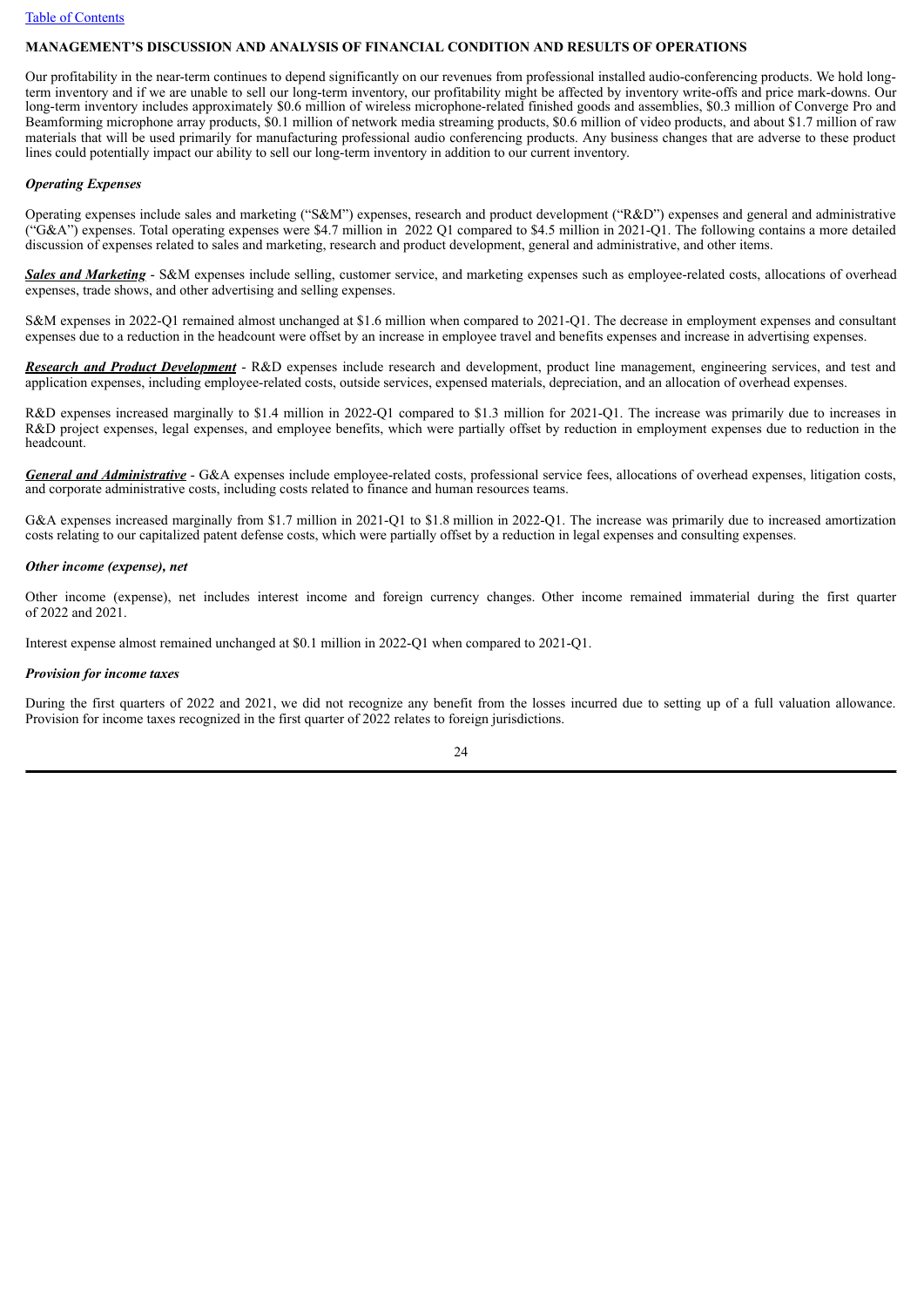### **MANAGEMENT'S DISCUSSION AND ANALYSIS OF FINANCIAL CONDITION AND RESULTS OF OPERATIONS**

Our profitability in the near-term continues to depend significantly on our revenues from professional installed audio-conferencing products. We hold longterm inventory and if we are unable to sell our long-term inventory, our profitability might be affected by inventory write-offs and price mark-downs. Our long-term inventory includes approximately \$0.6 million of wireless microphone-related finished goods and assemblies, \$0.3 million of Converge Pro and Beamforming microphone array products, \$0.1 million of network media streaming products, \$0.6 million of video products, and about \$1.7 million of raw materials that will be used primarily for manufacturing professional audio conferencing products. Any business changes that are adverse to these product lines could potentially impact our ability to sell our long-term inventory in addition to our current inventory.

#### *Operating Expenses*

Operating expenses include sales and marketing ("S&M") expenses, research and product development ("R&D") expenses and general and administrative ("G&A") expenses. Total operating expenses were \$4.7 million in 2022 Q1 compared to \$4.5 million in 2021-Q1. The following contains a more detailed discussion of expenses related to sales and marketing, research and product development, general and administrative, and other items.

**Sales and Marketing** - S&M expenses include selling, customer service, and marketing expenses such as employee-related costs, allocations of overhead expenses, trade shows, and other advertising and selling expenses.

S&M expenses in 2022-Q1 remained almost unchanged at \$1.6 million when compared to 2021-Q1. The decrease in employment expenses and consultant expenses due to a reduction in the headcount were offset by an increase in employee travel and benefits expenses and increase in advertising expenses.

*Research and Product Development* - R&D expenses include research and development, product line management, engineering services, and test and application expenses, including employee-related costs, outside services, expensed materials, depreciation, and an allocation of overhead expenses.

R&D expenses increased marginally to \$1.4 million in 2022-Q1 compared to \$1.3 million for 2021-Q1. The increase was primarily due to increases in R&D project expenses, legal expenses, and employee benefits, which were partially offset by reduction in employment expenses due to reduction in the headcount.

*General and Administrative* - G&A expenses include employee-related costs, professional service fees, allocations of overhead expenses, litigation costs, and corporate administrative costs, including costs related to finance and human resources teams.

G&A expenses increased marginally from \$1.7 million in 2021-O1 to \$1.8 million in 2022-O1. The increase was primarily due to increased amortization costs relating to our capitalized patent defense costs, which were partially offset by a reduction in legal expenses and consulting expenses.

### *Other income (expense), net*

Other income (expense), net includes interest income and foreign currency changes. Other income remained immaterial during the first quarter of 2022 and 2021.

Interest expense almost remained unchanged at \$0.1 million in 2022-Q1 when compared to 2021-Q1.

#### *Provision for income taxes*

During the first quarters of 2022 and 2021, we did not recognize any benefit from the losses incurred due to setting up of a full valuation allowance. Provision for income taxes recognized in the first quarter of 2022 relates to foreign jurisdictions.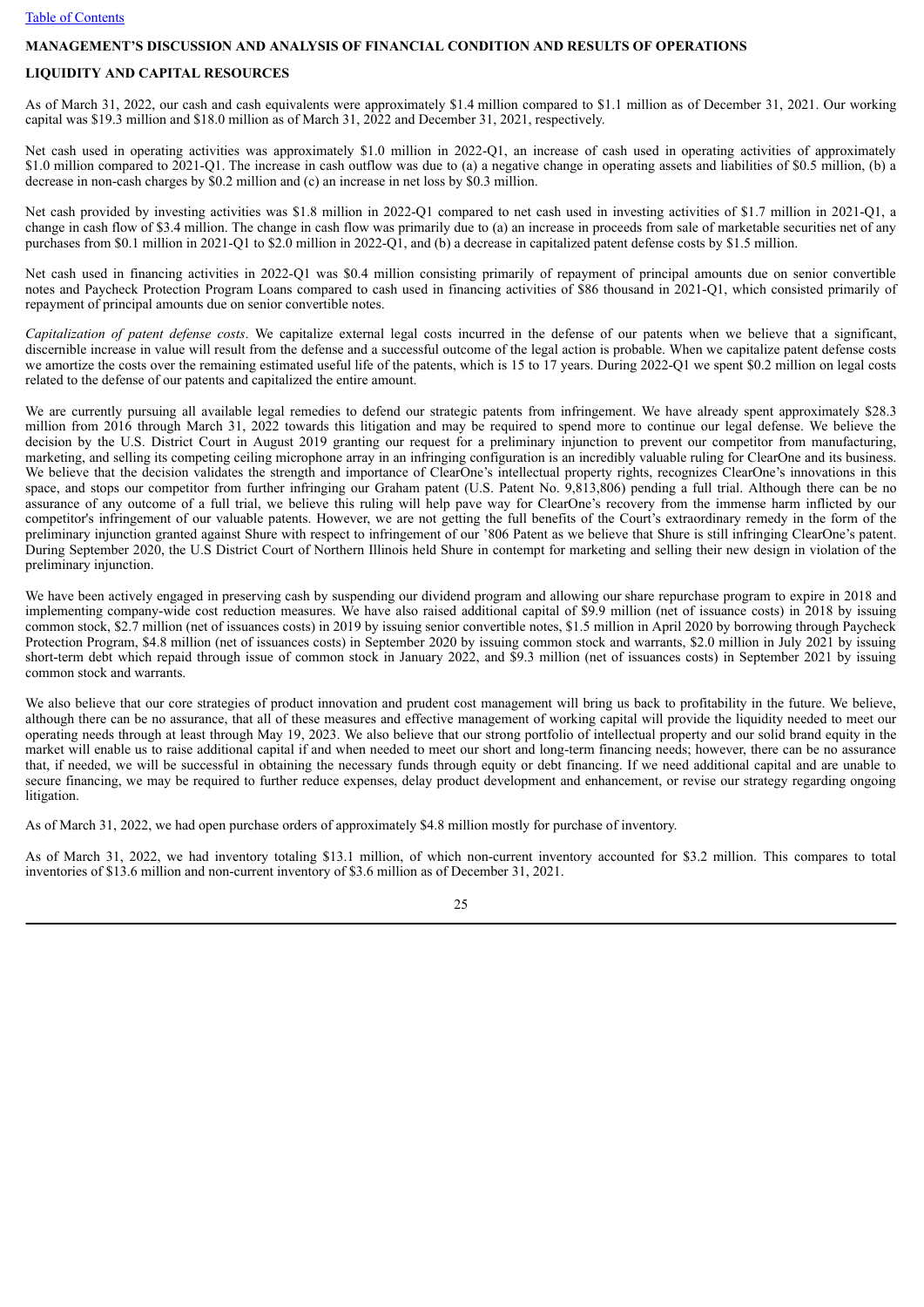### **MANAGEMENT'S DISCUSSION AND ANALYSIS OF FINANCIAL CONDITION AND RESULTS OF OPERATIONS**

# **LIQUIDITY AND CAPITAL RESOURCES**

As of March 31, 2022, our cash and cash equivalents were approximately \$1.4 million compared to \$1.1 million as of December 31, 2021. Our working capital was \$19.3 million and \$18.0 million as of March 31, 2022 and December 31, 2021, respectively.

Net cash used in operating activities was approximately \$1.0 million in 2022-Q1, an increase of cash used in operating activities of approximately \$1.0 million compared to 2021-Q1. The increase in cash outflow was due to (a) a negative change in operating assets and liabilities of \$0.5 million, (b) a decrease in non-cash charges by \$0.2 million and (c) an increase in net loss by \$0.3 million.

Net cash provided by investing activities was \$1.8 million in 2022-Q1 compared to net cash used in investing activities of \$1.7 million in 2021-Q1, a change in cash flow of \$3.4 million. The change in cash flow was primarily due to (a) an increase in proceeds from sale of marketable securities net of any purchases from \$0.1 million in 2021-Q1 to \$2.0 million in 2022-Q1, and (b) a decrease in capitalized patent defense costs by \$1.5 million.

Net cash used in financing activities in 2022-Q1 was \$0.4 million consisting primarily of repayment of principal amounts due on senior convertible notes and Paycheck Protection Program Loans compared to cash used in financing activities of \$86 thousand in 2021-Q1, which consisted primarily of repayment of principal amounts due on senior convertible notes.

*Capitalization of patent defense costs*. We capitalize external legal costs incurred in the defense of our patents when we believe that a significant, discernible increase in value will result from the defense and a successful outcome of the legal action is probable. When we capitalize patent defense costs we amortize the costs over the remaining estimated useful life of the patents, which is 15 to 17 years. During 2022-Q1 we spent \$0.2 million on legal costs related to the defense of our patents and capitalized the entire amount.

We are currently pursuing all available legal remedies to defend our strategic patents from infringement. We have already spent approximately \$28.3 million from 2016 through March 31, 2022 towards this litigation and may be required to spend more to continue our legal defense. We believe the decision by the U.S. District Court in August 2019 granting our request for a preliminary injunction to prevent our competitor from manufacturing, marketing, and selling its competing ceiling microphone array in an infringing configuration is an incredibly valuable ruling for ClearOne and its business. We believe that the decision validates the strength and importance of ClearOne's intellectual property rights, recognizes ClearOne's innovations in this space, and stops our competitor from further infringing our Graham patent (U.S. Patent No. 9,813,806) pending a full trial. Although there can be no assurance of any outcome of a full trial, we believe this ruling will help pave way for ClearOne's recovery from the immense harm inflicted by our competitor's infringement of our valuable patents. However, we are not getting the full benefits of the Court's extraordinary remedy in the form of the preliminary injunction granted against Shure with respect to infringement of our '806 Patent as we believe that Shure is still infringing ClearOne's patent. During September 2020, the U.S District Court of Northern Illinois held Shure in contempt for marketing and selling their new design in violation of the preliminary injunction.

We have been actively engaged in preserving cash by suspending our dividend program and allowing our share repurchase program to expire in 2018 and implementing company-wide cost reduction measures. We have also raised additional capital of \$9.9 million (net of issuance costs) in 2018 by issuing common stock, \$2.7 million (net of issuances costs) in 2019 by issuing senior convertible notes, \$1.5 million in April 2020 by borrowing through Paycheck Protection Program, \$4.8 million (net of issuances costs) in September 2020 by issuing common stock and warrants, \$2.0 million in July 2021 by issuing short-term debt which repaid through issue of common stock in January 2022, and \$9.3 million (net of issuances costs) in September 2021 by issuing common stock and warrants.

We also believe that our core strategies of product innovation and prudent cost management will bring us back to profitability in the future. We believe, although there can be no assurance, that all of these measures and effective management of working capital will provide the liquidity needed to meet our operating needs through at least through May 19, 2023. We also believe that our strong portfolio of intellectual property and our solid brand equity in the market will enable us to raise additional capital if and when needed to meet our short and long-term financing needs; however, there can be no assurance that, if needed, we will be successful in obtaining the necessary funds through equity or debt financing. If we need additional capital and are unable to secure financing, we may be required to further reduce expenses, delay product development and enhancement, or revise our strategy regarding ongoing **litigation** 

As of March 31, 2022, we had open purchase orders of approximately \$4.8 million mostly for purchase of inventory.

As of March 31, 2022, we had inventory totaling \$13.1 million, of which non-current inventory accounted for \$3.2 million. This compares to total inventories of \$13.6 million and non-current inventory of \$3.6 million as of December 31, 2021.

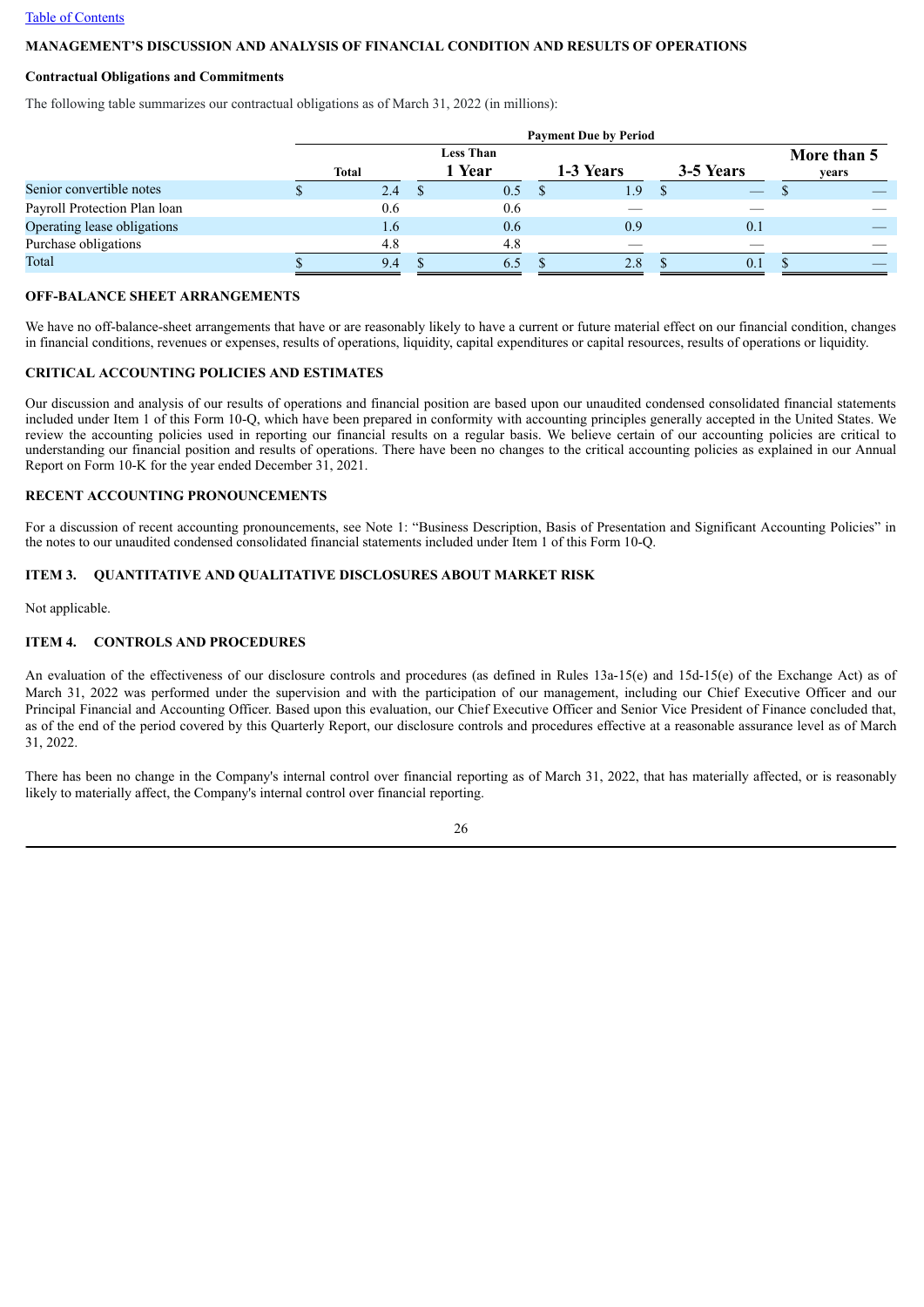### **MANAGEMENT'S DISCUSSION AND ANALYSIS OF FINANCIAL CONDITION AND RESULTS OF OPERATIONS**

# **Contractual Obligations and Commitments**

The following table summarizes our contractual obligations as of March 31, 2022 (in millions):

|                              | <b>Payment Due by Period</b> |  |                            |  |           |  |           |                      |
|------------------------------|------------------------------|--|----------------------------|--|-----------|--|-----------|----------------------|
|                              | <b>Total</b>                 |  | <b>Less Than</b><br>. Year |  | 1-3 Years |  | 3-5 Years | More than 5<br>vears |
| Senior convertible notes     | 2.4                          |  | 0.5                        |  | 1.9       |  |           |                      |
| Payroll Protection Plan loan | 0.6                          |  | 0.6                        |  |           |  |           |                      |
| Operating lease obligations  | 1.6                          |  | 0.6                        |  | 0.9       |  | 0.1       |                      |
| Purchase obligations         | 4.8                          |  | 4.8                        |  |           |  |           |                      |
| Total                        | 9.4                          |  | 6.5                        |  | 2.8       |  | $0$ .     |                      |

### **OFF-BALANCE SHEET ARRANGEMENTS**

We have no off-balance-sheet arrangements that have or are reasonably likely to have a current or future material effect on our financial condition, changes in financial conditions, revenues or expenses, results of operations, liquidity, capital expenditures or capital resources, results of operations or liquidity.

## **CRITICAL ACCOUNTING POLICIES AND ESTIMATES**

Our discussion and analysis of our results of operations and financial position are based upon our unaudited condensed consolidated financial statements included under Item 1 of this Form 10-Q, which have been prepared in conformity with accounting principles generally accepted in the United States. We review the accounting policies used in reporting our financial results on a regular basis. We believe certain of our accounting policies are critical to understanding our financial position and results of operations. There have been no changes to the critical accounting policies as explained in our Annual Report on Form 10-K for the year ended December 31, 2021.

### **RECENT ACCOUNTING PRONOUNCEMENTS**

For a discussion of recent accounting pronouncements, see Note 1: "Business Description, Basis of Presentation and Significant Accounting Policies" in the notes to our unaudited condensed consolidated financial statements included under Item 1 of this Form 10-Q.

## <span id="page-25-0"></span>**ITEM 3. QUANTITATIVE AND QUALITATIVE DISCLOSURES ABOUT MARKET RISK**

Not applicable.

### <span id="page-25-1"></span>**ITEM 4. CONTROLS AND PROCEDURES**

An evaluation of the effectiveness of our disclosure controls and procedures (as defined in Rules 13a-15(e) and 15d-15(e) of the Exchange Act) as of March 31, 2022 was performed under the supervision and with the participation of our management, including our Chief Executive Officer and our Principal Financial and Accounting Officer. Based upon this evaluation, our Chief Executive Officer and Senior Vice President of Finance concluded that, as of the end of the period covered by this Quarterly Report, our disclosure controls and procedures effective at a reasonable assurance level as of March 31, 2022.

There has been no change in the Company's internal control over financial reporting as of March 31, 2022, that has materially affected, or is reasonably likely to materially affect, the Company's internal control over financial reporting.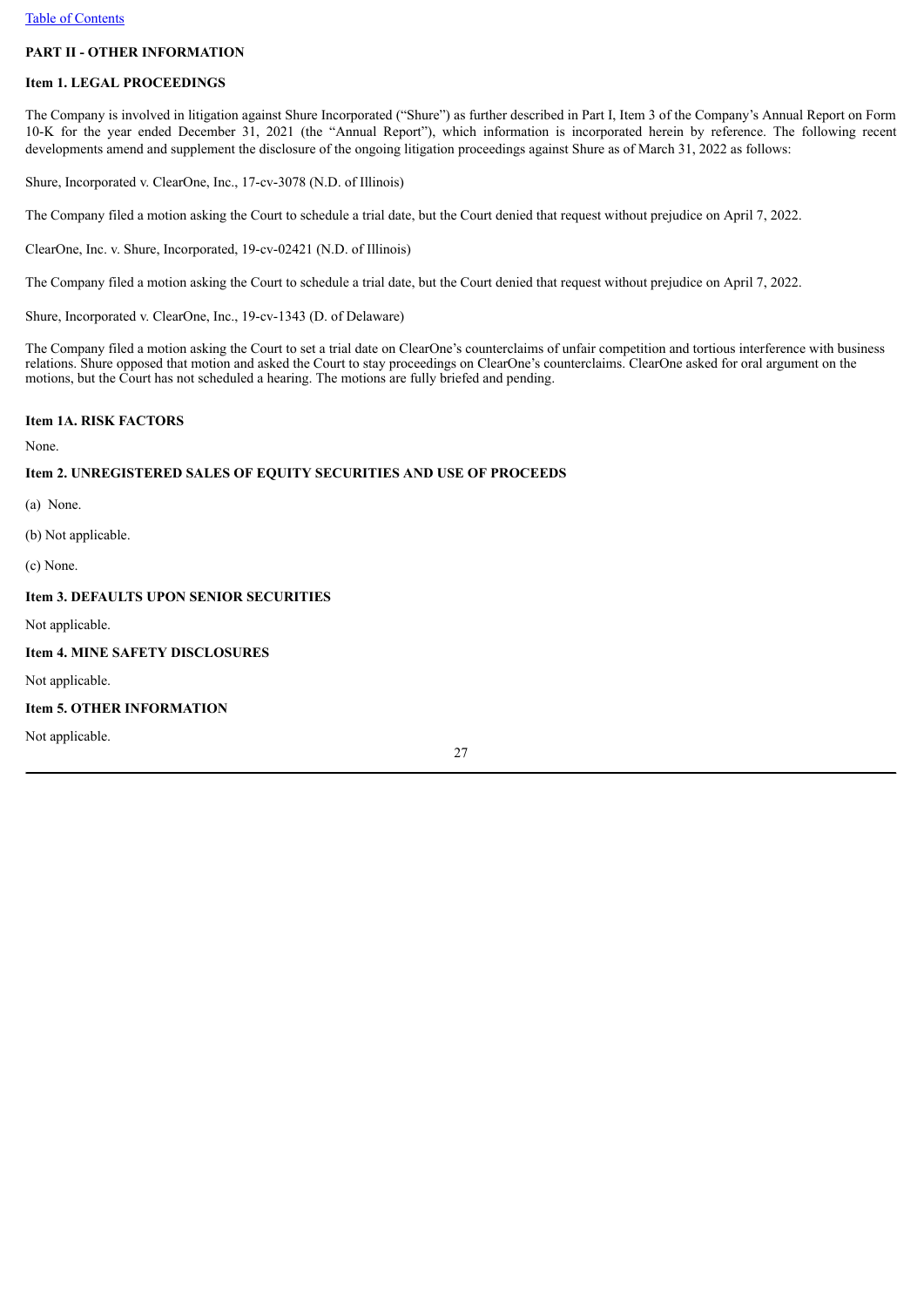# <span id="page-26-0"></span>**PART II - OTHER INFORMATION**

# <span id="page-26-1"></span>**Item 1. LEGAL PROCEEDINGS**

The Company is involved in litigation against Shure Incorporated ("Shure") as further described in Part I, Item 3 of the Company's Annual Report on Form 10-K for the year ended December 31, 2021 (the "Annual Report"), which information is incorporated herein by reference. The following recent developments amend and supplement the disclosure of the ongoing litigation proceedings against Shure as of March 31, 2022 as follows:

Shure, Incorporated v. ClearOne, Inc., 17-cv-3078 (N.D. of Illinois)

The Company filed a motion asking the Court to schedule a trial date, but the Court denied that request without prejudice on April 7, 2022.

ClearOne, Inc. v. Shure, Incorporated, 19-cv-02421 (N.D. of Illinois)

The Company filed a motion asking the Court to schedule a trial date, but the Court denied that request without prejudice on April 7, 2022.

Shure, Incorporated v. ClearOne, Inc., 19-cv-1343 (D. of Delaware)

The Company filed a motion asking the Court to set a trial date on ClearOne's counterclaims of unfair competition and tortious interference with business relations. Shure opposed that motion and asked the Court to stay proceedings on ClearOne's counterclaims. ClearOne asked for oral argument on the motions, but the Court has not scheduled a hearing. The motions are fully briefed and pending.

# <span id="page-26-2"></span>**Item 1A. RISK FACTORS**

None.

# <span id="page-26-3"></span>**Item 2. UNREGISTERED SALES OF EQUITY SECURITIES AND USE OF PROCEEDS**

(a) None.

(b) Not applicable.

(c) None.

### <span id="page-26-4"></span>**Item 3. DEFAULTS UPON SENIOR SECURITIES**

Not applicable.

### <span id="page-26-5"></span>**Item 4. MINE SAFETY DISCLOSURES**

Not applicable.

### <span id="page-26-6"></span>**Item 5. OTHER INFORMATION**

Not applicable.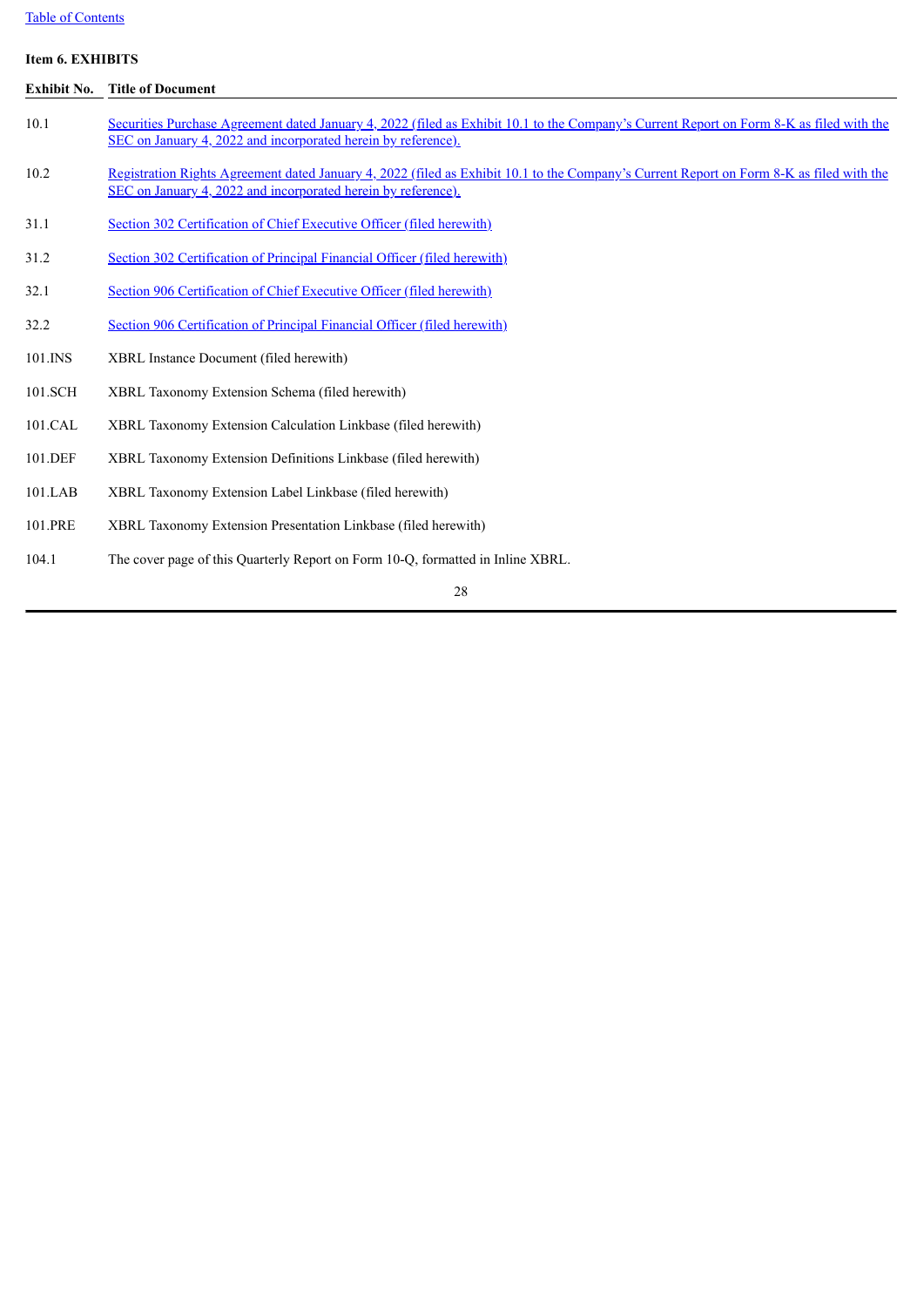### <span id="page-27-0"></span>**Item 6. EXHIBITS**

| <b>Exhibit No.</b> | <b>Title of Document</b>                                                                                                                                                                                  |
|--------------------|-----------------------------------------------------------------------------------------------------------------------------------------------------------------------------------------------------------|
| 10.1               | Securities Purchase Agreement dated January 4, 2022 (filed as Exhibit 10.1 to the Company's Current Report on Form 8-K as filed with the<br>SEC on January 4, 2022 and incorporated herein by reference). |
| 10.2               | Registration Rights Agreement dated January 4, 2022 (filed as Exhibit 10.1 to the Company's Current Report on Form 8-K as filed with the<br>SEC on January 4, 2022 and incorporated herein by reference). |
| 31.1               | Section 302 Certification of Chief Executive Officer (filed herewith)                                                                                                                                     |
| 31.2               | Section 302 Certification of Principal Financial Officer (filed herewith)                                                                                                                                 |
| 32.1               | Section 906 Certification of Chief Executive Officer (filed herewith)                                                                                                                                     |
| 32.2               | Section 906 Certification of Principal Financial Officer (filed herewith)                                                                                                                                 |
| 101.INS            | XBRL Instance Document (filed herewith)                                                                                                                                                                   |
| 101.SCH            | XBRL Taxonomy Extension Schema (filed herewith)                                                                                                                                                           |
| 101.CAL            | XBRL Taxonomy Extension Calculation Linkbase (filed herewith)                                                                                                                                             |
| 101.DEF            | XBRL Taxonomy Extension Definitions Linkbase (filed herewith)                                                                                                                                             |
| $101$ .LAB         | XBRL Taxonomy Extension Label Linkbase (filed herewith)                                                                                                                                                   |
| 101.PRE            | XBRL Taxonomy Extension Presentation Linkbase (filed herewith)                                                                                                                                            |
| 104.1              | The cover page of this Quarterly Report on Form 10-Q, formatted in Inline XBRL.                                                                                                                           |
|                    | 28                                                                                                                                                                                                        |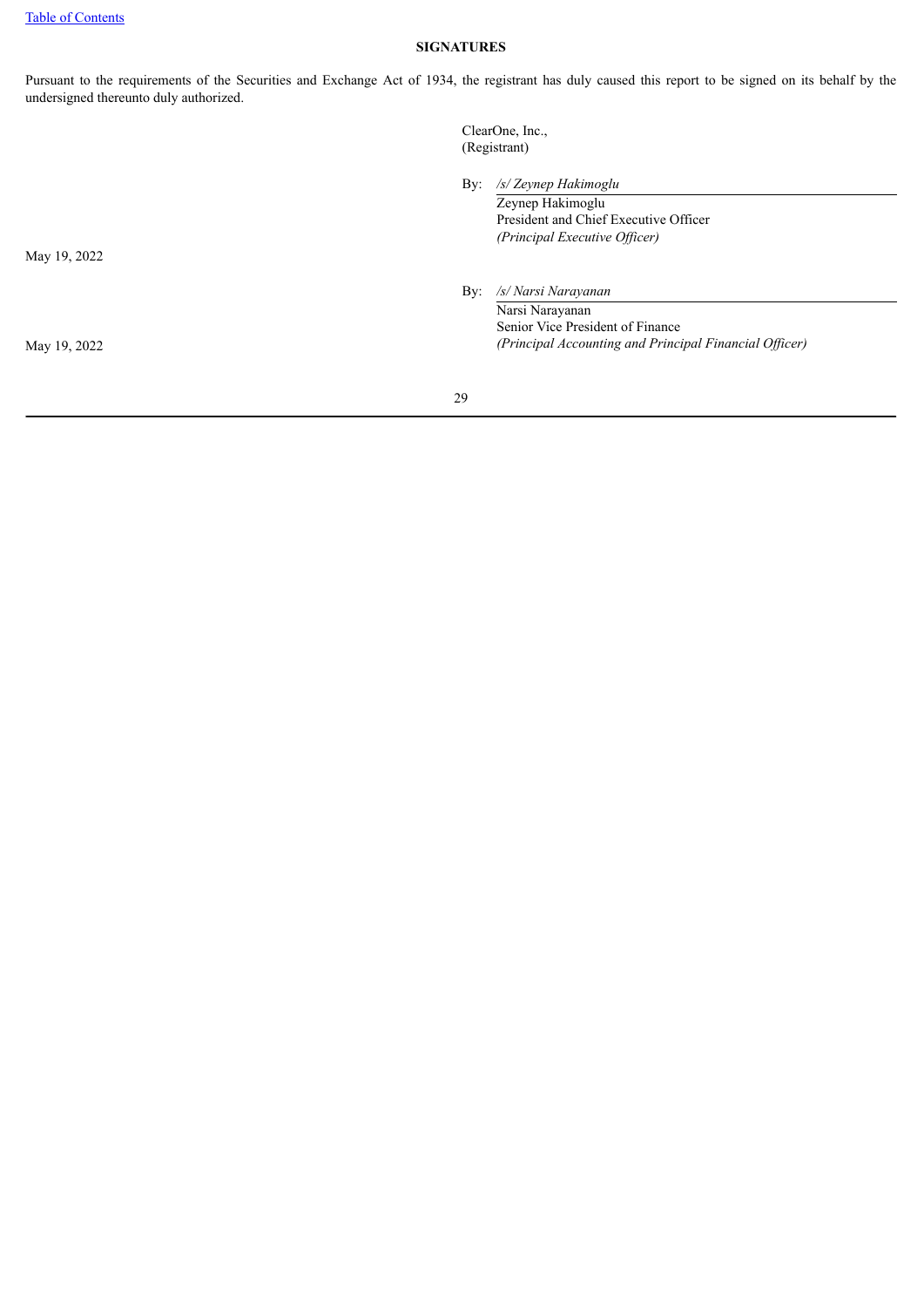### **SIGNATURES**

Pursuant to the requirements of the Securities and Exchange Act of 1934, the registrant has duly caused this report to be signed on its behalf by the undersigned thereunto duly authorized.

|              | ClearOne, Inc.,<br>(Registrant)                                                                                           |
|--------------|---------------------------------------------------------------------------------------------------------------------------|
|              | /s/ Zeynep Hakimoglu<br>By:<br>Zeynep Hakimoglu<br>President and Chief Executive Officer<br>(Principal Executive Officer) |
| May 19, 2022 |                                                                                                                           |
|              | $\rm\,By:$<br>/s/ Narsi Narayanan<br>Narsi Narayanan<br>Senior Vice President of Finance                                  |
| May 19, 2022 | <i>(Principal Accounting and Principal Financial Officer)</i>                                                             |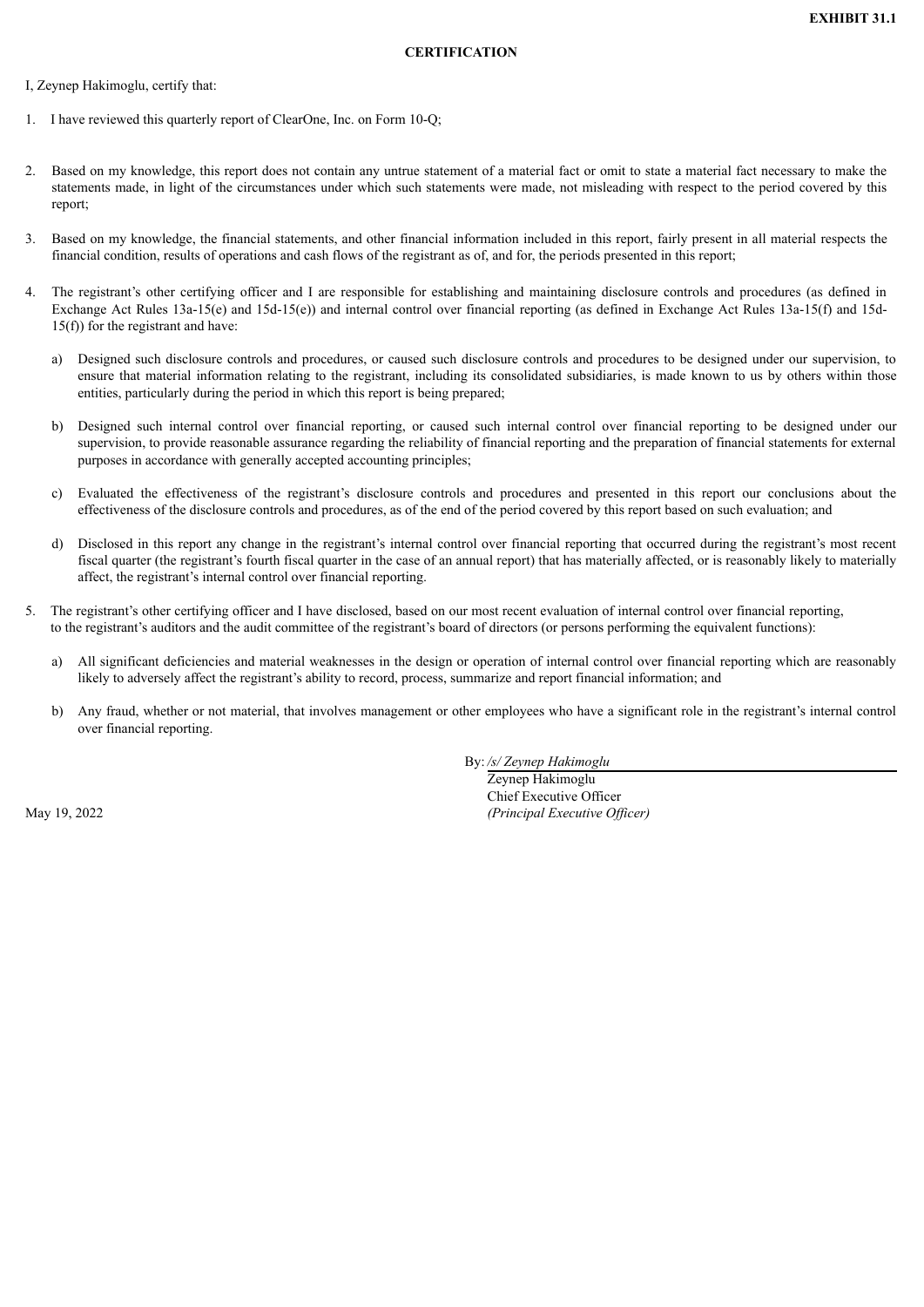#### **CERTIFICATION**

<span id="page-29-0"></span>I, Zeynep Hakimoglu, certify that:

- 1. I have reviewed this quarterly report of ClearOne, Inc. on Form 10-Q;
- 2. Based on my knowledge, this report does not contain any untrue statement of a material fact or omit to state a material fact necessary to make the statements made, in light of the circumstances under which such statements were made, not misleading with respect to the period covered by this report;
- 3. Based on my knowledge, the financial statements, and other financial information included in this report, fairly present in all material respects the financial condition, results of operations and cash flows of the registrant as of, and for, the periods presented in this report;
- 4. The registrant's other certifying officer and I are responsible for establishing and maintaining disclosure controls and procedures (as defined in Exchange Act Rules 13a-15(e) and 15d-15(e)) and internal control over financial reporting (as defined in Exchange Act Rules 13a-15(f) and 15d-15(f)) for the registrant and have:
	- a) Designed such disclosure controls and procedures, or caused such disclosure controls and procedures to be designed under our supervision, to ensure that material information relating to the registrant, including its consolidated subsidiaries, is made known to us by others within those entities, particularly during the period in which this report is being prepared;
	- b) Designed such internal control over financial reporting, or caused such internal control over financial reporting to be designed under our supervision, to provide reasonable assurance regarding the reliability of financial reporting and the preparation of financial statements for external purposes in accordance with generally accepted accounting principles;
	- c) Evaluated the effectiveness of the registrant's disclosure controls and procedures and presented in this report our conclusions about the effectiveness of the disclosure controls and procedures, as of the end of the period covered by this report based on such evaluation; and
	- d) Disclosed in this report any change in the registrant's internal control over financial reporting that occurred during the registrant's most recent fiscal quarter (the registrant's fourth fiscal quarter in the case of an annual report) that has materially affected, or is reasonably likely to materially affect, the registrant's internal control over financial reporting.
- 5. The registrant's other certifying officer and I have disclosed, based on our most recent evaluation of internal control over financial reporting, to the registrant's auditors and the audit committee of the registrant's board of directors (or persons performing the equivalent functions):
	- a) All significant deficiencies and material weaknesses in the design or operation of internal control over financial reporting which are reasonably likely to adversely affect the registrant's ability to record, process, summarize and report financial information; and
	- b) Any fraud, whether or not material, that involves management or other employees who have a significant role in the registrant's internal control over financial reporting.

By: */s/ Zeynep Hakimoglu*

Zeynep Hakimoglu Chief Executive Officer *(Principal Executive Of icer)*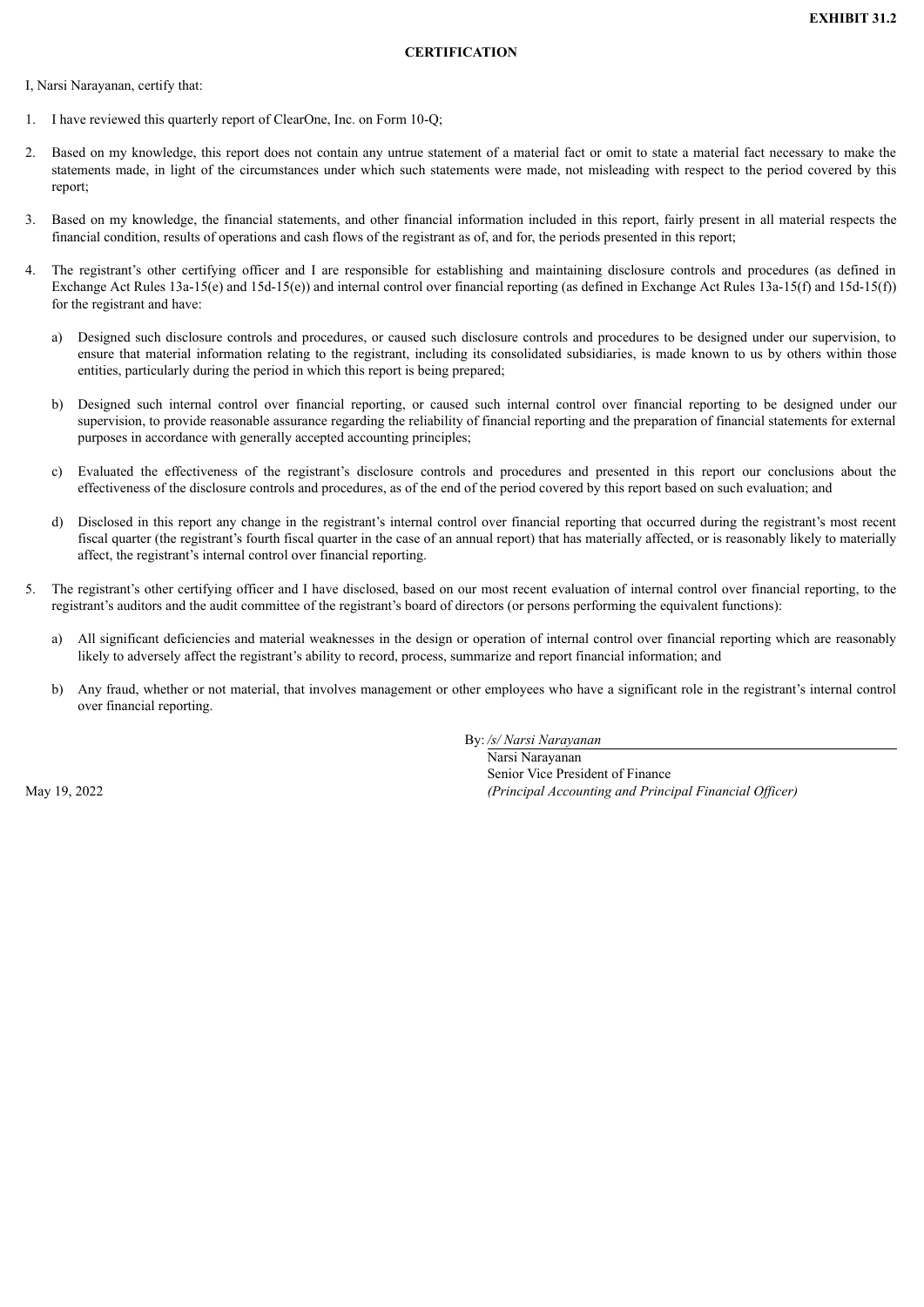<span id="page-30-0"></span>I, Narsi Narayanan, certify that:

- 1. I have reviewed this quarterly report of ClearOne, Inc. on Form 10-Q;
- 2. Based on my knowledge, this report does not contain any untrue statement of a material fact or omit to state a material fact necessary to make the statements made, in light of the circumstances under which such statements were made, not misleading with respect to the period covered by this report;
- 3. Based on my knowledge, the financial statements, and other financial information included in this report, fairly present in all material respects the financial condition, results of operations and cash flows of the registrant as of, and for, the periods presented in this report;
- 4. The registrant's other certifying officer and I are responsible for establishing and maintaining disclosure controls and procedures (as defined in Exchange Act Rules 13a-15(e) and 15d-15(e)) and internal control over financial reporting (as defined in Exchange Act Rules 13a-15(f) and 15d-15(f)) for the registrant and have:
	- a) Designed such disclosure controls and procedures, or caused such disclosure controls and procedures to be designed under our supervision, to ensure that material information relating to the registrant, including its consolidated subsidiaries, is made known to us by others within those entities, particularly during the period in which this report is being prepared;
	- b) Designed such internal control over financial reporting, or caused such internal control over financial reporting to be designed under our supervision, to provide reasonable assurance regarding the reliability of financial reporting and the preparation of financial statements for external purposes in accordance with generally accepted accounting principles;
	- c) Evaluated the effectiveness of the registrant's disclosure controls and procedures and presented in this report our conclusions about the effectiveness of the disclosure controls and procedures, as of the end of the period covered by this report based on such evaluation; and
	- d) Disclosed in this report any change in the registrant's internal control over financial reporting that occurred during the registrant's most recent fiscal quarter (the registrant's fourth fiscal quarter in the case of an annual report) that has materially affected, or is reasonably likely to materially affect, the registrant's internal control over financial reporting.
- 5. The registrant's other certifying officer and I have disclosed, based on our most recent evaluation of internal control over financial reporting, to the registrant's auditors and the audit committee of the registrant's board of directors (or persons performing the equivalent functions):
	- a) All significant deficiencies and material weaknesses in the design or operation of internal control over financial reporting which are reasonably likely to adversely affect the registrant's ability to record, process, summarize and report financial information; and
	- b) Any fraud, whether or not material, that involves management or other employees who have a significant role in the registrant's internal control over financial reporting.

By: */s/ Narsi Narayanan*

Narsi Narayanan Senior Vice President of Finance *(Principal Accounting and Principal Financial Of icer)*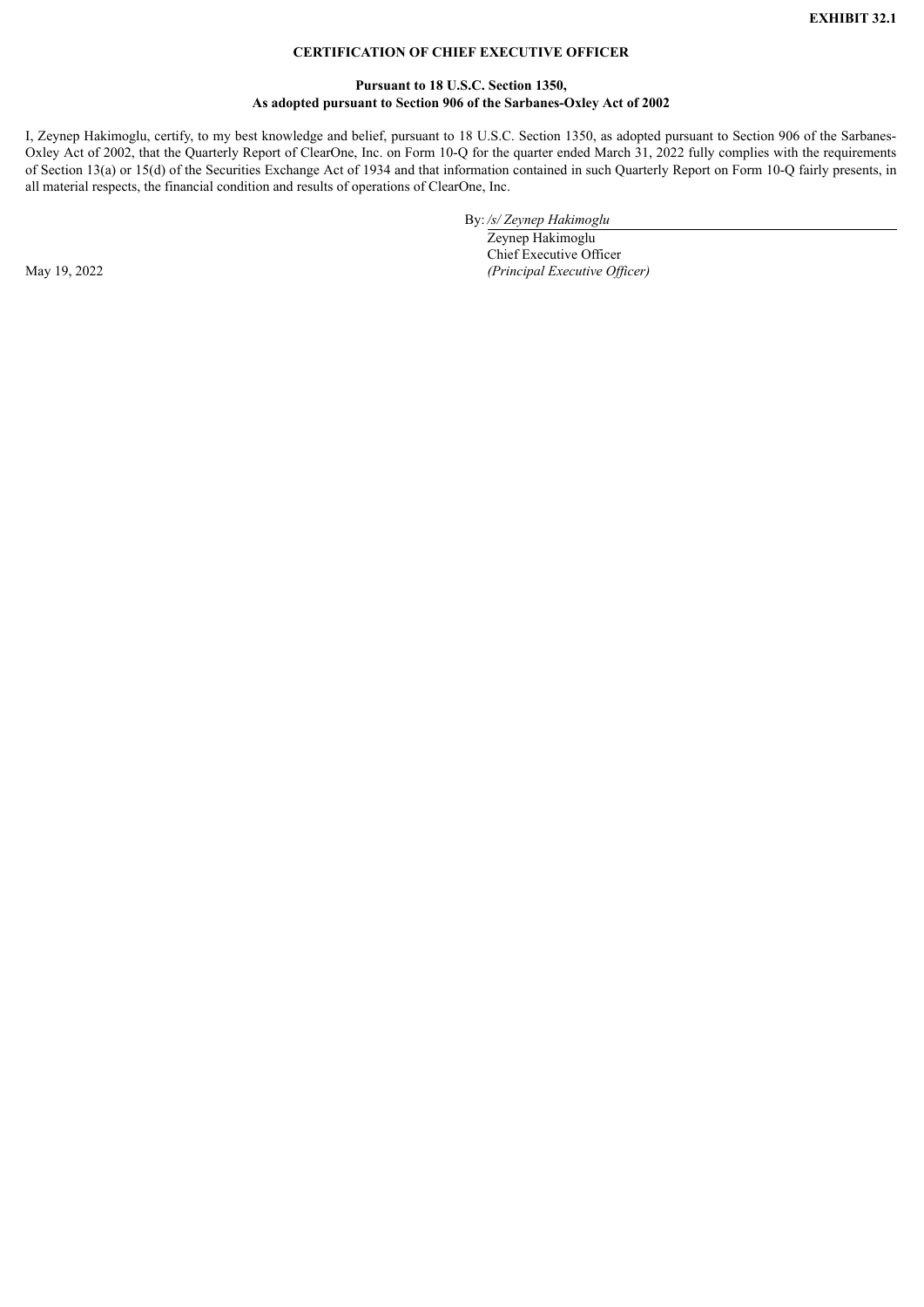#### **CERTIFICATION OF CHIEF EXECUTIVE OFFICER**

#### **Pursuant to 18 U.S.C. Section 1350, As adopted pursuant to Section 906 of the Sarbanes-Oxley Act of 2002**

<span id="page-31-0"></span>I, Zeynep Hakimoglu, certify, to my best knowledge and belief, pursuant to 18 U.S.C. Section 1350, as adopted pursuant to Section 906 of the Sarbanes-Oxley Act of 2002, that the Quarterly Report of ClearOne, Inc. on Form 10-Q for the quarter ended March 31, 2022 fully complies with the requirements of Section 13(a) or 15(d) of the Securities Exchange Act of 1934 and that information contained in such Quarterly Report on Form 10-Q fairly presents, in all material respects, the financial condition and results of operations of ClearOne, Inc.

By: */s/ Zeynep Hakimoglu*

Zeynep Hakimoglu Chief Executive Officer *(Principal Executive Of icer)*